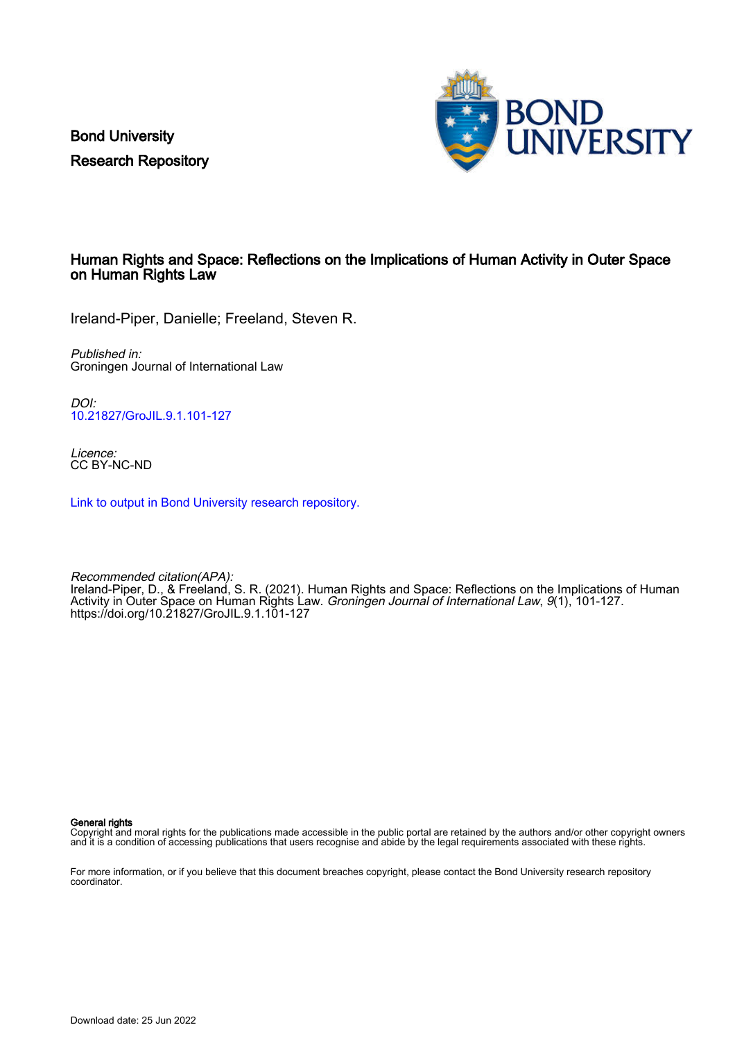Bond University Research Repository



#### Human Rights and Space: Reflections on the Implications of Human Activity in Outer Space on Human Rights Law

Ireland-Piper, Danielle; Freeland, Steven R.

Published in: Groningen Journal of International Law

DOI: [10.21827/GroJIL.9.1.101-127](https://doi.org/10.21827/GroJIL.9.1.101-127)

Licence: CC BY-NC-ND

[Link to output in Bond University research repository.](https://research.bond.edu.au/en/publications/ee9d15cd-e9e1-436e-9283-5df559e3bd80)

Recommended citation(APA): Internative Changing, a state of the U.S. R. (2021). Human Rights and Space: Reflections on the Implications of Human Activity in Outer Space on Human Rights Law. Groningen Journal of International Law, 9(1), 101-127. <https://doi.org/10.21827/GroJIL.9.1.101-127>

General rights

Copyright and moral rights for the publications made accessible in the public portal are retained by the authors and/or other copyright owners and it is a condition of accessing publications that users recognise and abide by the legal requirements associated with these rights.

For more information, or if you believe that this document breaches copyright, please contact the Bond University research repository coordinator.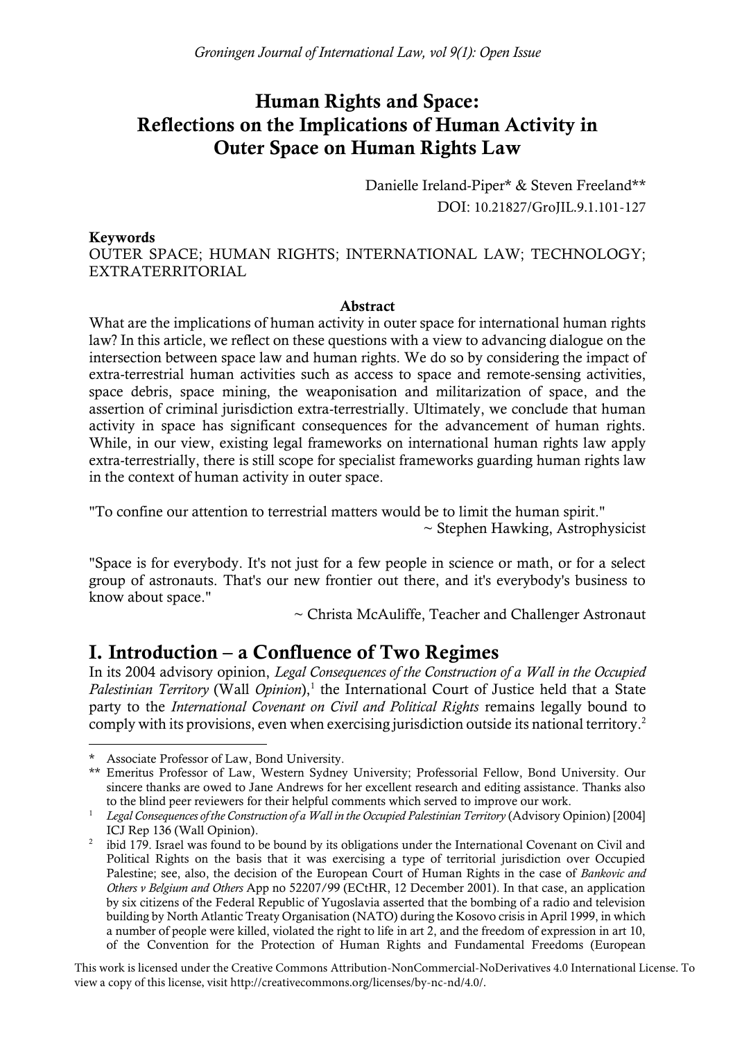# Human Rights and Space: Reflections on the Implications of Human Activity in Outer Space on Human Rights Law

Danielle Ireland-Piper\* & Steven Freeland\*\* DOI: 10.21827/GroJIL.9.1.101-127

#### Keywords

OUTER SPACE; HUMAN RIGHTS; INTERNATIONAL LAW; TECHNOLOGY; EXTRATERRITORIAL

#### Abstract

What are the implications of human activity in outer space for international human rights law? In this article, we reflect on these questions with a view to advancing dialogue on the intersection between space law and human rights. We do so by considering the impact of extra-terrestrial human activities such as access to space and remote-sensing activities, space debris, space mining, the weaponisation and militarization of space, and the assertion of criminal jurisdiction extra-terrestrially. Ultimately, we conclude that human activity in space has significant consequences for the advancement of human rights. While, in our view, existing legal frameworks on international human rights law apply extra-terrestrially, there is still scope for specialist frameworks guarding human rights law in the context of human activity in outer space.

"To confine our attention to terrestrial matters would be to limit the human spirit." ~ Stephen Hawking, Astrophysicist

"Space is for everybody. It's not just for a few people in science or math, or for a select group of astronauts. That's our new frontier out there, and it's everybody's business to know about space."

 $\sim$  Christa McAuliffe, Teacher and Challenger Astronaut

### I. Introduction – a Confluence of Two Regimes

In its 2004 advisory opinion, *Legal Consequences of the Construction of a Wall in the Occupied*  Palestinian Territory (Wall *Opinion*),<sup>1</sup> the International Court of Justice held that a State party to the *International Covenant on Civil and Political Rights* remains legally bound to comply with its provisions, even when exercising jurisdiction outside its national territory.<sup>2</sup>

This work is licensed under the Creative Commons Attribution-NonCommercial-NoDerivatives 4.0 International License. To view a copy of this license, visit http://creativecommons.org/licenses/by-nc-nd/4.0/.

Associate Professor of Law, Bond University.

<sup>\*\*</sup> Emeritus Professor of Law, Western Sydney University; Professorial Fellow, Bond University. Our sincere thanks are owed to Jane Andrews for her excellent research and editing assistance. Thanks also to the blind peer reviewers for their helpful comments which served to improve our work.

<sup>&</sup>lt;sup>1</sup> *Legal Consequences of the Construction of a Wall in the Occupied Palestinian Territory* (Advisory Opinion) [2004] ICJ Rep 136 (Wall Opinion).

 $2$  ibid 179. Israel was found to be bound by its obligations under the International Covenant on Civil and Political Rights on the basis that it was exercising a type of territorial jurisdiction over Occupied Palestine; see, also, the decision of the European Court of Human Rights in the case of *Bankovic and Others v Belgium and Others* App no 52207/99 (ECtHR, 12 December 2001). In that case, an application by six citizens of the Federal Republic of Yugoslavia asserted that the bombing of a radio and television building by North Atlantic Treaty Organisation (NATO) during the Kosovo crisis in April 1999, in which a number of people were killed, violated the right to life in art 2, and the freedom of expression in art 10, of the Convention for the Protection of Human Rights and Fundamental Freedoms (European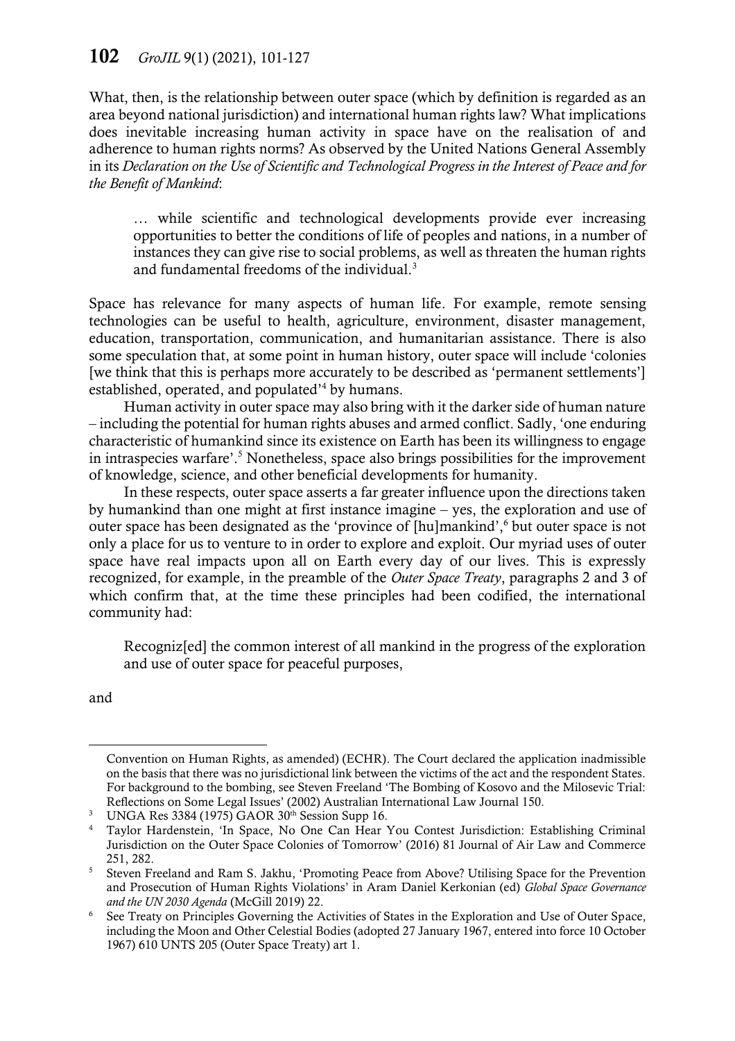What, then, is the relationship between outer space (which by definition is regarded as an area beyond national jurisdiction) and international human rights law? What implications does inevitable increasing human activity in space have on the realisation of and adherence to human rights norms? As observed by the United Nations General Assembly in its *Declaration on the Use of Scientific and Technological Progress in the Interest of Peace and for the Benefit of Mankind*:

… while scientific and technological developments provide ever increasing opportunities to better the conditions of life of peoples and nations, in a number of instances they can give rise to social problems, as well as threaten the human rights and fundamental freedoms of the individual.<sup>3</sup>

Space has relevance for many aspects of human life. For example, remote sensing technologies can be useful to health, agriculture, environment, disaster management, education, transportation, communication, and humanitarian assistance. There is also some speculation that, at some point in human history, outer space will include 'colonies [we think that this is perhaps more accurately to be described as 'permanent settlements'] established, operated, and populated'<sup>4</sup> by humans.

Human activity in outer space may also bring with it the darker side of human nature – including the potential for human rights abuses and armed conflict. Sadly, 'one enduring characteristic of humankind since its existence on Earth has been its willingness to engage in intraspecies warfare'.<sup>5</sup> Nonetheless, space also brings possibilities for the improvement of knowledge, science, and other beneficial developments for humanity.

In these respects, outer space asserts a far greater influence upon the directions taken by humankind than one might at first instance imagine – yes, the exploration and use of outer space has been designated as the 'province of [hu]mankind',<sup>6</sup> but outer space is not only a place for us to venture to in order to explore and exploit. Our myriad uses of outer space have real impacts upon all on Earth every day of our lives. This is expressly recognized, for example, in the preamble of the *Outer Space Treaty*, paragraphs 2 and 3 of which confirm that, at the time these principles had been codified, the international community had:

<span id="page-2-0"></span>Recogniz[ed] the common interest of all mankind in the progress of the exploration and use of outer space for peaceful purposes,

and

Convention on Human Rights, as amended) (ECHR). The Court declared the application inadmissible on the basis that there was no jurisdictional link between the victims of the act and the respondent States. For background to the bombing, see Steven Freeland 'The Bombing of Kosovo and the Milosevic Trial: Reflections on Some Legal Issues' (2002) Australian International Law Journal 150.

<sup>&</sup>lt;sup>3</sup> UNGA Res 3384 (1975) GAOR  $30<sup>th</sup>$  Session Supp 16.

<sup>4</sup> Taylor Hardenstein, 'In Space, No One Can Hear You Contest Jurisdiction: Establishing Criminal Jurisdiction on the Outer Space Colonies of Tomorrow' (2016) 81 Journal of Air Law and Commerce 251, 282.

<sup>5</sup> Steven Freeland and Ram S. Jakhu, 'Promoting Peace from Above? Utilising Space for the Prevention and Prosecution of Human Rights Violations' in Aram Daniel Kerkonian (ed) *Global Space Governance and the UN 2030 Agenda* (McGill 2019) 22.

<sup>6</sup> See Treaty on Principles Governing the Activities of States in the Exploration and Use of Outer Space, including the Moon and Other Celestial Bodies (adopted 27 January 1967, entered into force 10 October 1967) 610 UNTS 205 (Outer Space Treaty) art 1.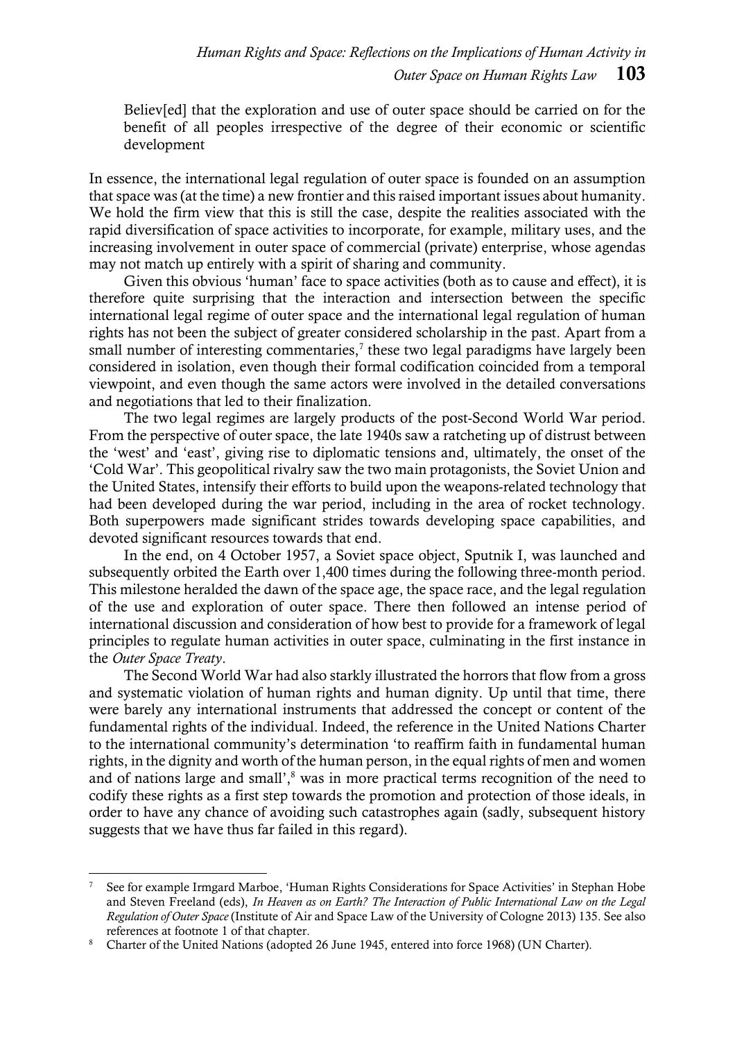Believ[ed] that the exploration and use of outer space should be carried on for the benefit of all peoples irrespective of the degree of their economic or scientific development

In essence, the international legal regulation of outer space is founded on an assumption that space was (at the time) a new frontier and this raised important issues about humanity. We hold the firm view that this is still the case, despite the realities associated with the rapid diversification of space activities to incorporate, for example, military uses, and the increasing involvement in outer space of commercial (private) enterprise, whose agendas may not match up entirely with a spirit of sharing and community.

Given this obvious 'human' face to space activities (both as to cause and effect), it is therefore quite surprising that the interaction and intersection between the specific international legal regime of outer space and the international legal regulation of human rights has not been the subject of greater considered scholarship in the past. Apart from a small number of interesting commentaries,<sup>7</sup> these two legal paradigms have largely been considered in isolation, even though their formal codification coincided from a temporal viewpoint, and even though the same actors were involved in the detailed conversations and negotiations that led to their finalization.

The two legal regimes are largely products of the post-Second World War period. From the perspective of outer space, the late 1940s saw a ratcheting up of distrust between the 'west' and 'east', giving rise to diplomatic tensions and, ultimately, the onset of the 'Cold War'. This geopolitical rivalry saw the two main protagonists, the Soviet Union and the United States, intensify their efforts to build upon the weapons-related technology that had been developed during the war period, including in the area of rocket technology. Both superpowers made significant strides towards developing space capabilities, and devoted significant resources towards that end.

In the end, on 4 October 1957, a Soviet space object, Sputnik I, was launched and subsequently orbited the Earth over 1,400 times during the following three-month period. This milestone heralded the dawn of the space age, the space race, and the legal regulation of the use and exploration of outer space. There then followed an intense period of international discussion and consideration of how best to provide for a framework of legal principles to regulate human activities in outer space, culminating in the first instance in the *Outer Space Treaty*.

<span id="page-3-0"></span>The Second World War had also starkly illustrated the horrors that flow from a gross and systematic violation of human rights and human dignity. Up until that time, there were barely any international instruments that addressed the concept or content of the fundamental rights of the individual. Indeed, the reference in the United Nations Charter to the international community's determination 'to reaffirm faith in fundamental human rights, in the dignity and worth of the human person, in the equal rights of men and women and of nations large and small',<sup>8</sup> was in more practical terms recognition of the need to codify these rights as a first step towards the promotion and protection of those ideals, in order to have any chance of avoiding such catastrophes again (sadly, subsequent history suggests that we have thus far failed in this regard).

<sup>7</sup> See for example Irmgard Marboe, 'Human Rights Considerations for Space Activities' in Stephan Hobe and Steven Freeland (eds), *In Heaven as on Earth? The Interaction of Public International Law on the Legal Regulation of Outer Space* (Institute of Air and Space Law of the University of Cologne 2013) 135. See also references at footnote 1 of that chapter.

<sup>&</sup>lt;sup>8</sup> Charter of the United Nations (adopted 26 June 1945, entered into force 1968) (UN Charter).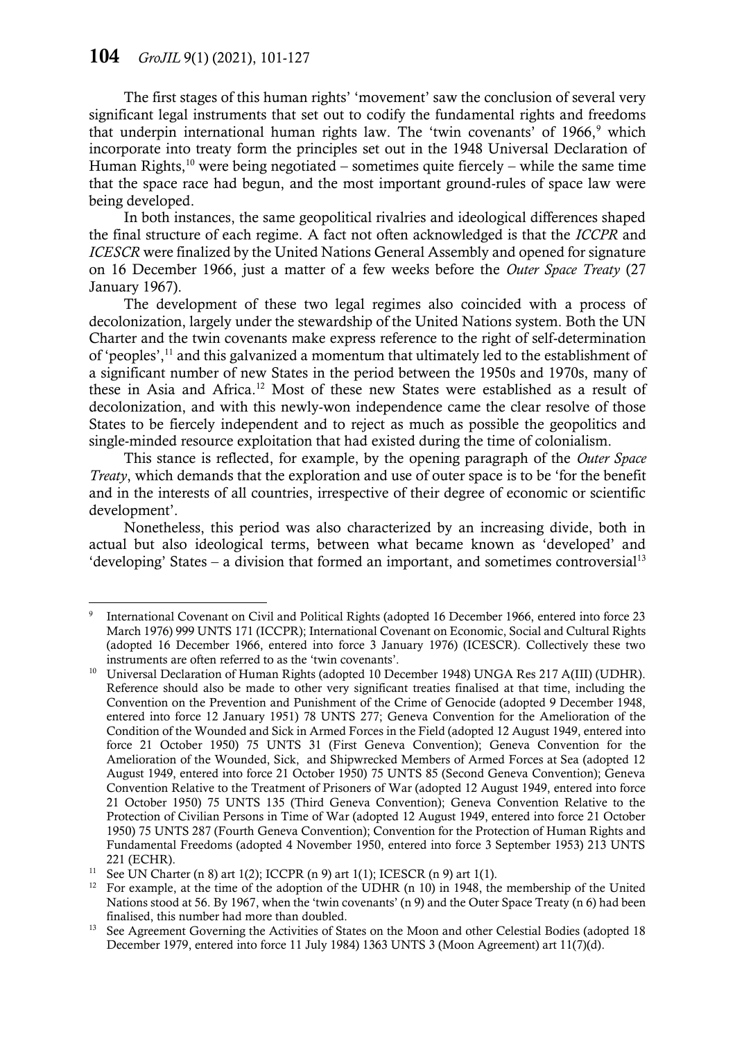<span id="page-4-0"></span>The first stages of this human rights' 'movement' saw the conclusion of several very significant legal instruments that set out to codify the fundamental rights and freedoms that underpin international human rights law. The 'twin covenants' of  $1966$ ,  $9$  which incorporate into treaty form the principles set out in the 1948 Universal Declaration of Human Rights,<sup>10</sup> were being negotiated – sometimes quite fiercely – while the same time that the space race had begun, and the most important ground-rules of space law were being developed.

<span id="page-4-2"></span>In both instances, the same geopolitical rivalries and ideological differences shaped the final structure of each regime. A fact not often acknowledged is that the *ICCPR* and *ICESCR* were finalized by the United Nations General Assembly and opened for signature on 16 December 1966, just a matter of a few weeks before the *Outer Space Treaty* (27 January 1967).

The development of these two legal regimes also coincided with a process of decolonization, largely under the stewardship of the United Nations system. Both the UN Charter and the twin covenants make express reference to the right of self-determination of 'peoples',<sup>11</sup> and this galvanized a momentum that ultimately led to the establishment of a significant number of new States in the period between the 1950s and 1970s, many of these in Asia and Africa.<sup>12</sup> Most of these new States were established as a result of decolonization, and with this newly-won independence came the clear resolve of those States to be fiercely independent and to reject as much as possible the geopolitics and single-minded resource exploitation that had existed during the time of colonialism.

This stance is reflected, for example, by the opening paragraph of the *Outer Space Treaty*, which demands that the exploration and use of outer space is to be 'for the benefit and in the interests of all countries, irrespective of their degree of economic or scientific development'.

Nonetheless, this period was also characterized by an increasing divide, both in actual but also ideological terms, between what became known as 'developed' and 'developing' States – a division that formed an important, and sometimes controversial<sup>13</sup>

<span id="page-4-1"></span> $\overline{a}$ 9 International Covenant on Civil and Political Rights (adopted 16 December 1966, entered into force 23 March 1976) 999 UNTS 171 (ICCPR); International Covenant on Economic, Social and Cultural Rights (adopted 16 December 1966, entered into force 3 January 1976) (ICESCR). Collectively these two instruments are often referred to as the 'twin covenants'.

<sup>&</sup>lt;sup>10</sup> Universal Declaration of Human Rights (adopted 10 December 1948) UNGA Res 217 A(III) (UDHR). Reference should also be made to other very significant treaties finalised at that time, including the Convention on the Prevention and Punishment of the Crime of Genocide (adopted 9 December 1948, entered into force 12 January 1951) 78 UNTS 277; Geneva Convention for the Amelioration of the Condition of the Wounded and Sick in Armed Forces in the Field (adopted 12 August 1949, entered into force 21 October 1950) 75 UNTS 31 (First Geneva Convention); Geneva Convention for the Amelioration of the Wounded, Sick, and Shipwrecked Members of Armed Forces at Sea (adopted 12 August 1949, entered into force 21 October 1950) 75 UNTS 85 (Second Geneva Convention); Geneva Convention Relative to the Treatment of Prisoners of War (adopted 12 August 1949, entered into force 21 October 1950) 75 UNTS 135 (Third Geneva Convention); Geneva Convention Relative to the Protection of Civilian Persons in Time of War (adopted 12 August 1949, entered into force 21 October 1950) 75 UNTS 287 (Fourth Geneva Convention); Convention for the Protection of Human Rights and Fundamental Freedoms (adopted 4 November 1950, entered into force 3 September 1953) 213 UNTS 221 (ECHR).

<sup>&</sup>lt;sup>11</sup> See UN Charter (n [8\)](#page-3-0) art 1(2); ICCPR (n [9\)](#page-4-0) art 1(1); ICESCR (n 9) art 1(1).

<sup>&</sup>lt;sup>12</sup> For example, at the time of the adoption of the UDHR  $(n 10)$  in 1948, the membership of the United Nations stood at 56. By 1967, when the 'twin covenants' (n 9) and the Outer Space Treaty (n 6) had been finalised, this number had more than doubled.

<sup>&</sup>lt;sup>13</sup> See Agreement Governing the Activities of States on the Moon and other Celestial Bodies (adopted 18 December 1979, entered into force 11 July 1984) 1363 UNTS 3 (Moon Agreement) art 11(7)(d).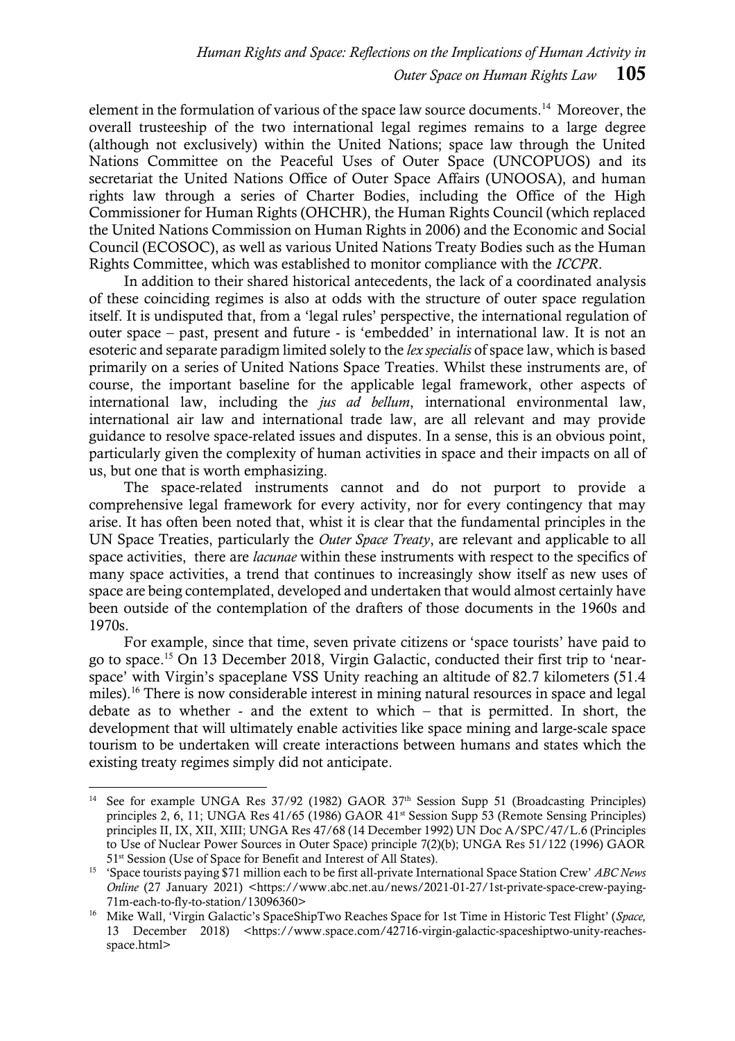<span id="page-5-0"></span>element in the formulation of various of the space law source documents.<sup>14</sup> Moreover, the overall trusteeship of the two international legal regimes remains to a large degree (although not exclusively) within the United Nations; space law through the United Nations Committee on the Peaceful Uses of Outer Space (UNCOPUOS) and its secretariat the United Nations Office of Outer Space Affairs (UNOOSA), and human rights law through a series of Charter Bodies, including the Office of the High Commissioner for Human Rights (OHCHR), the Human Rights Council (which replaced the United Nations Commission on Human Rights in 2006) and the Economic and Social Council (ECOSOC), as well as various United Nations Treaty Bodies such as the Human Rights Committee, which was established to monitor compliance with the *ICCPR*.

In addition to their shared historical antecedents, the lack of a coordinated analysis of these coinciding regimes is also at odds with the structure of outer space regulation itself. It is undisputed that, from a 'legal rules' perspective, the international regulation of outer space – past, present and future - is 'embedded' in international law. It is not an esoteric and separate paradigm limited solely to the *lex specialis* of space law, which is based primarily on a series of United Nations Space Treaties. Whilst these instruments are, of course, the important baseline for the applicable legal framework, other aspects of international law, including the *jus ad bellum*, international environmental law, international air law and international trade law, are all relevant and may provide guidance to resolve space-related issues and disputes. In a sense, this is an obvious point, particularly given the complexity of human activities in space and their impacts on all of us, but one that is worth emphasizing.

The space-related instruments cannot and do not purport to provide a comprehensive legal framework for every activity, nor for every contingency that may arise. It has often been noted that, whist it is clear that the fundamental principles in the UN Space Treaties, particularly the *Outer Space Treaty*, are relevant and applicable to all space activities, there are *lacunae* within these instruments with respect to the specifics of many space activities, a trend that continues to increasingly show itself as new uses of space are being contemplated, developed and undertaken that would almost certainly have been outside of the contemplation of the drafters of those documents in the 1960s and 1970s.

For example, since that time, seven private citizens or 'space tourists' have paid to go to space.<sup>15</sup> On 13 December 2018, Virgin Galactic, conducted their first trip to 'nearspace' with Virgin's spaceplane VSS Unity reaching an altitude of 82.7 kilometers (51.4 miles).<sup>16</sup> There is now considerable interest in mining natural resources in space and legal debate as to whether - and the extent to which – that is permitted. In short, the development that will ultimately enable activities like space mining and large-scale space tourism to be undertaken will create interactions between humans and states which the existing treaty regimes simply did not anticipate.

<sup>&</sup>lt;sup>14</sup> See for example UNGA Res  $37/92$  (1982) GAOR  $37<sup>th</sup>$  Session Supp 51 (Broadcasting Principles) principles 2, 6, 11; UNGA Res 41/65 (1986) GAOR 41<sup>st</sup> Session Supp 53 (Remote Sensing Principles) principles II, IX, XII, XIII; UNGA Res 47/68 (14 December 1992) UN Doc A/SPC/47/L.6 (Principles to Use of Nuclear Power Sources in Outer Space) principle 7(2)(b); UNGA Res 51/122 (1996) GAOR 51<sup>st</sup> Session (Use of Space for Benefit and Interest of All States).

<sup>15</sup> 'Space tourists paying \$71 million each to be first all-private International Space Station Crew' *ABC News Online* (27 January 2021) <https://www.abc.net.au/news/2021-01-27/1st-private-space-crew-paying-71m-each-to-fly-to-station/13096360>

<sup>&</sup>lt;sup>16</sup> Mike Wall, 'Virgin Galactic's SpaceShipTwo Reaches Space for 1st Time in Historic Test Flight' (Space, 13 December 2018) <https://www.space.com/42716-virgin-galactic-spaceshiptwo-unity-reachesspace.html>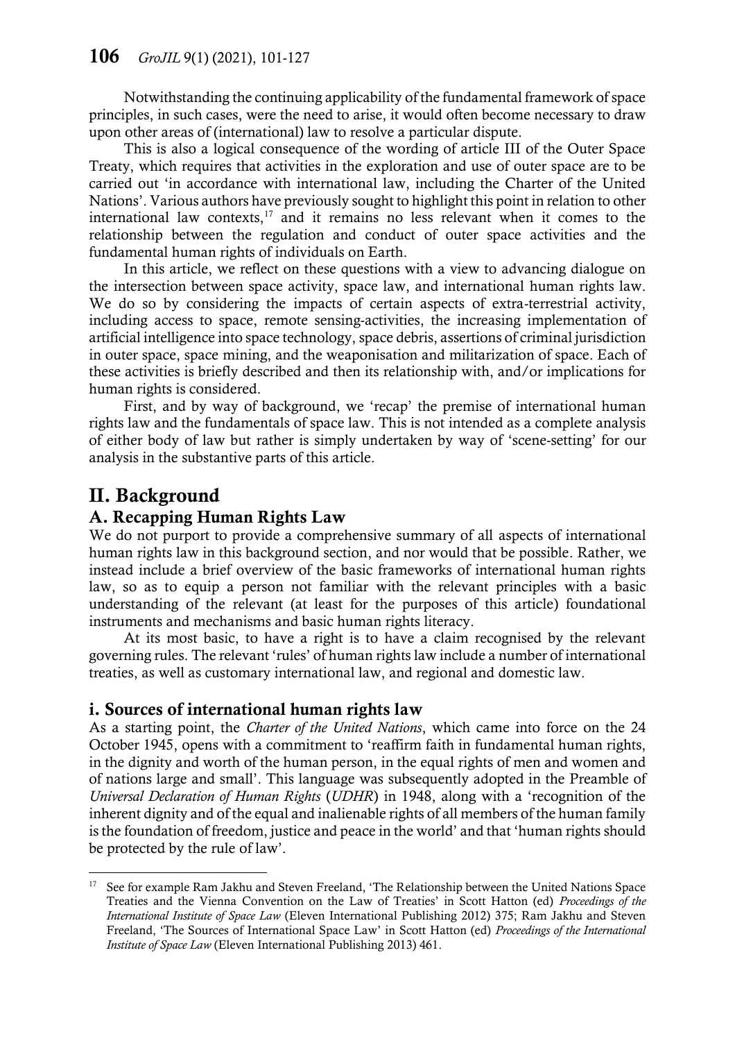Notwithstanding the continuing applicability of the fundamental framework of space principles, in such cases, were the need to arise, it would often become necessary to draw upon other areas of (international) law to resolve a particular dispute.

This is also a logical consequence of the wording of article III of the Outer Space Treaty, which requires that activities in the exploration and use of outer space are to be carried out 'in accordance with international law, including the Charter of the United Nations'. Various authors have previously sought to highlight this point in relation to other international law contexts, $17$  and it remains no less relevant when it comes to the relationship between the regulation and conduct of outer space activities and the fundamental human rights of individuals on Earth.

In this article, we reflect on these questions with a view to advancing dialogue on the intersection between space activity, space law, and international human rights law. We do so by considering the impacts of certain aspects of extra-terrestrial activity, including access to space, remote sensing-activities, the increasing implementation of artificial intelligence into space technology, space debris, assertions of criminal jurisdiction in outer space, space mining, and the weaponisation and militarization of space. Each of these activities is briefly described and then its relationship with, and/or implications for human rights is considered.

First, and by way of background, we 'recap' the premise of international human rights law and the fundamentals of space law. This is not intended as a complete analysis of either body of law but rather is simply undertaken by way of 'scene-setting' for our analysis in the substantive parts of this article.

# II. Background

### A. Recapping Human Rights Law

We do not purport to provide a comprehensive summary of all aspects of international human rights law in this background section, and nor would that be possible. Rather, we instead include a brief overview of the basic frameworks of international human rights law, so as to equip a person not familiar with the relevant principles with a basic understanding of the relevant (at least for the purposes of this article) foundational instruments and mechanisms and basic human rights literacy.

At its most basic, to have a right is to have a claim recognised by the relevant governing rules. The relevant 'rules' of human rights law include a number of international treaties, as well as customary international law, and regional and domestic law.

### i. Sources of international human rights law

As a starting point, the *Charter of the United Nations*, which came into force on the 24 October 1945, opens with a commitment to 'reaffirm faith in fundamental human rights, in the dignity and worth of the human person, in the equal rights of men and women and of nations large and small'. This language was subsequently adopted in the Preamble of *Universal Declaration of Human Rights* (*UDHR*) in 1948, along with a 'recognition of the inherent dignity and of the equal and inalienable rights of all members of the human family is the foundation of freedom, justice and peace in the world' and that 'human rights should be protected by the rule of law'.

<sup>&</sup>lt;sup>17</sup> See for example Ram Jakhu and Steven Freeland, 'The Relationship between the United Nations Space Treaties and the Vienna Convention on the Law of Treaties' in Scott Hatton (ed) *Proceedings of the International Institute of Space Law* (Eleven International Publishing 2012) 375; Ram Jakhu and Steven Freeland, 'The Sources of International Space Law' in Scott Hatton (ed) *Proceedings of the International Institute of Space Law* (Eleven International Publishing 2013) 461.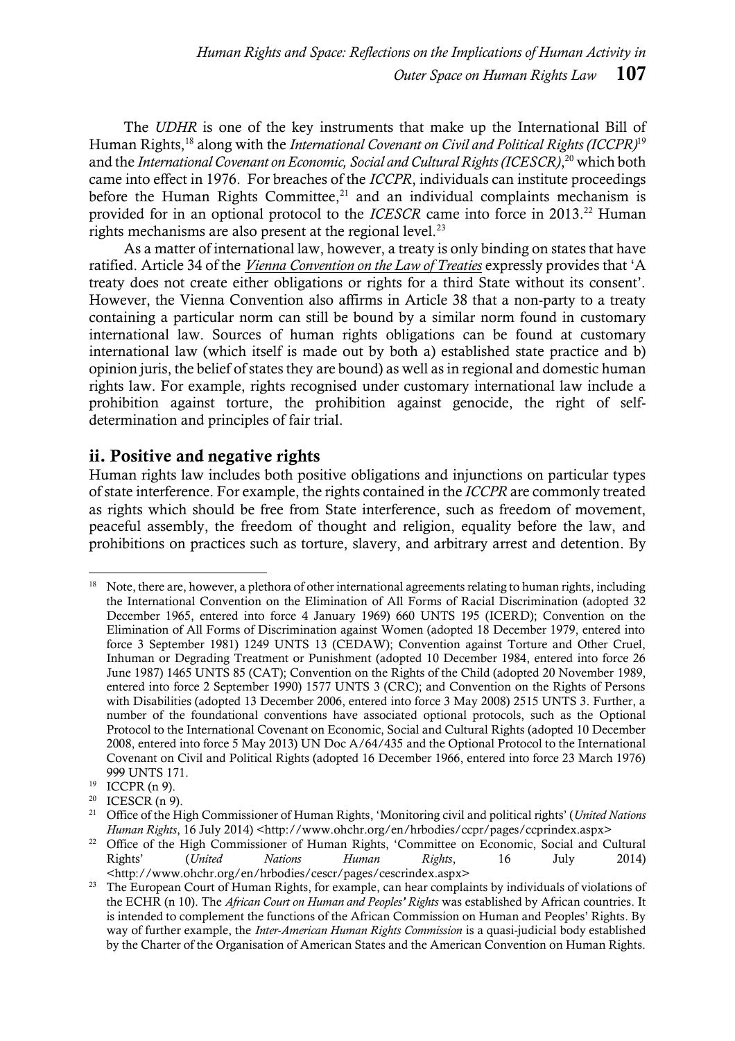The *UDHR* is one of the key instruments that make up the International Bill of Human Rights,<sup>18</sup> along with the *International Covenant on Civil and Political Rights (ICCPR)*<sup>19</sup> and the *International Covenant on Economic, Social and Cultural Rights (ICESCR)*, <sup>20</sup> which both came into effect in 1976. For breaches of the *ICCPR*, individuals can institute proceedings before the Human Rights Committee, $21$  and an individual complaints mechanism is provided for in an optional protocol to the *ICESCR* came into force in 2013.<sup>22</sup> Human rights mechanisms are also present at the regional level. $^{23}$ 

As a matter of international law, however, a treaty is only binding on states that have ratified. Article 34 of the *Vienna [Convention](http://legal.un.org/ilc/texts/instruments/english/conventions/1_1_1969.pdf) on the Law of Treaties* expressly provides that 'A treaty does not create either obligations or rights for a third State without its consent'. However, the Vienna Convention also affirms in Article 38 that a non-party to a treaty containing a particular norm can still be bound by a similar norm found in customary international law. Sources of human rights obligations can be found at customary international law (which itself is made out by both a) established state practice and b) opinion juris, the belief of states they are bound) as well as in regional and domestic human rights law. For example, rights recognised under customary international law include a prohibition against torture, the prohibition against genocide, the right of selfdetermination and principles of fair trial.

#### ii. Positive and negative rights

Human rights law includes both positive obligations and injunctions on particular types of state interference. For example, the rights contained in the *ICCPR* are commonly treated as rights which should be free from State interference, such as freedom of movement, peaceful assembly, the freedom of thought and religion, equality before the law, and prohibitions on practices such as torture, slavery, and arbitrary arrest and detention. By

 $\overline{a}$ <sup>18</sup> Note, there are, however, a plethora of other international agreements relating to human rights, including the International Convention on the Elimination of All Forms of Racial Discrimination (adopted 32 December 1965, entered into force 4 January 1969) 660 UNTS 195 (ICERD); Convention on the Elimination of All Forms of Discrimination against Women (adopted 18 December 1979, entered into force 3 September 1981) 1249 UNTS 13 (CEDAW); Convention against Torture and Other Cruel, Inhuman or Degrading Treatment or Punishment (adopted 10 December 1984, entered into force 26 June 1987) 1465 UNTS 85 (CAT); Convention on the Rights of the Child (adopted 20 November 1989, entered into force 2 September 1990) 1577 UNTS 3 (CRC); and Convention on the Rights of Persons with Disabilities (adopted 13 December 2006, entered into force 3 May 2008) 2515 UNTS 3. Further, a number of the foundational conventions have associated optional protocols, such as the Optional Protocol to the International Covenant on Economic, Social and Cultural Rights (adopted 10 December 2008, entered into force 5 May 2013) UN Doc A/64/435 and the Optional Protocol to the International Covenant on Civil and Political Rights (adopted 16 December 1966, entered into force 23 March 1976) 999 UNTS 171.

<sup>&</sup>lt;sup>19</sup> ICCPR (n [9\)](#page-4-0).<br><sup>20</sup> ICESCR (n 9)

<sup>&</sup>lt;sup>20</sup> ICESCR (n [9\)](#page-4-0).

<sup>21</sup> Office of the High Commissioner of Human Rights, 'Monitoring civil and political rights' (*United Nations Human Rights*, 16 July 2014) <http://www.ohchr.org/en/hrbodies/ccpr/pages/ccprindex.aspx>

<sup>&</sup>lt;sup>22</sup> Office of the High Commissioner of Human Rights, 'Committee on Economic, Social and Cultural Rights' (*United Nations Human Rights*, 16 July 2014) <http://www.ohchr.org/en/hrbodies/cescr/pages/cescrindex.aspx>

<sup>&</sup>lt;sup>23</sup> The European Court of Human Rights, for example, can hear complaints by individuals of violations of the ECHR (n 10). The *African Court on Human and Peoples' Rights* was established by African countries. It is intended to complement the functions of the African Commission on Human and Peoples' Rights. By way of further example, the *Inter-American Human Rights Commission* is a quasi-judicial body established by the Charter of the Organisation of American States and the American Convention on Human Rights.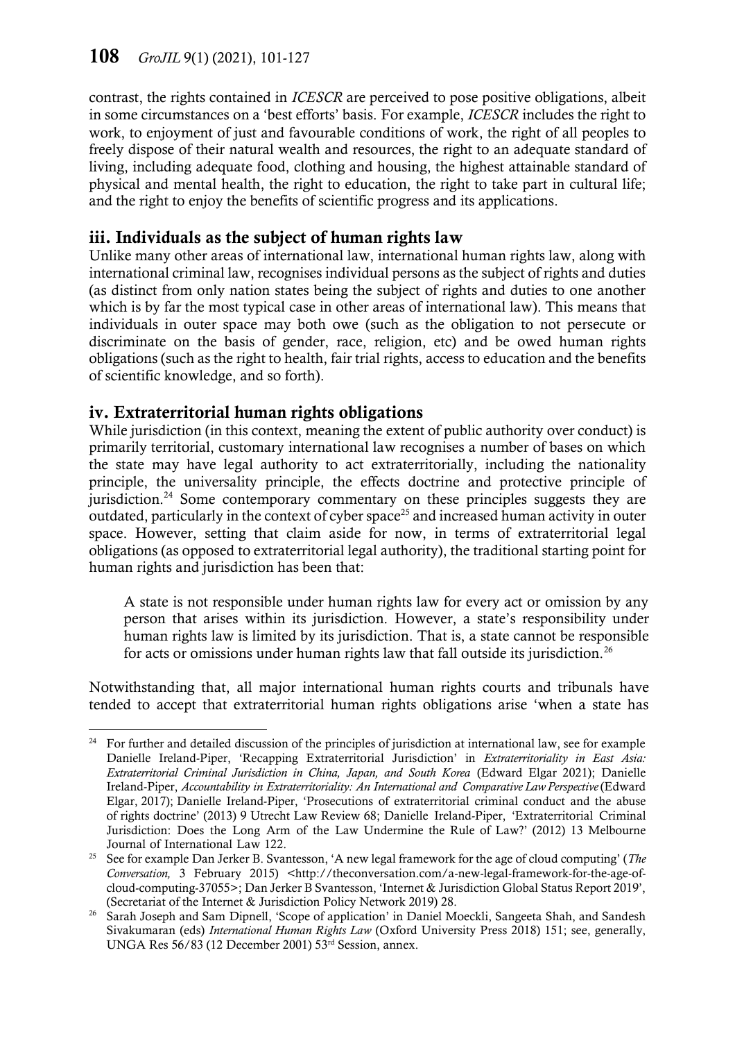contrast, the rights contained in *ICESCR* are perceived to pose positive obligations, albeit in some circumstances on a 'best efforts' basis. For example, *ICESCR* includes the right to work, to enjoyment of just and favourable conditions of work, the right of all peoples to freely dispose of their natural wealth and resources, the right to an adequate standard of living, including adequate food, clothing and housing, the highest attainable standard of physical and mental health, the right to education, the right to take part in cultural life; and the right to enjoy the benefits of scientific progress and its applications.

## iii. Individuals as the subject of human rights law

Unlike many other areas of international law, international human rights law, along with international criminal law, recognises individual persons as the subject of rights and duties (as distinct from only nation states being the subject of rights and duties to one another which is by far the most typical case in other areas of international law). This means that individuals in outer space may both owe (such as the obligation to not persecute or discriminate on the basis of gender, race, religion, etc) and be owed human rights obligations (such as the right to health, fair trial rights, access to education and the benefits of scientific knowledge, and so forth).

## iv. Extraterritorial human rights obligations

While jurisdiction (in this context, meaning the extent of public authority over conduct) is primarily territorial, customary international law recognises a number of bases on which the state may have legal authority to act extraterritorially, including the nationality principle, the universality principle, the effects doctrine and protective principle of jurisdiction.<sup>24</sup> Some contemporary commentary on these principles suggests they are outdated, particularly in the context of cyber space<sup>25</sup> and increased human activity in outer space. However, setting that claim aside for now, in terms of extraterritorial legal obligations (as opposed to extraterritorial legal authority), the traditional starting point for human rights and jurisdiction has been that:

A state is not responsible under human rights law for every act or omission by any person that arises within its jurisdiction. However, a state's responsibility under human rights law is limited by its jurisdiction. That is, a state cannot be responsible for acts or omissions under human rights law that fall outside its jurisdiction.<sup>26</sup>

Notwithstanding that, all major international human rights courts and tribunals have tended to accept that extraterritorial human rights obligations arise 'when a state has

 $\overline{a}$ <sup>24</sup> For further and detailed discussion of the principles of jurisdiction at international law, see for example Danielle Ireland-Piper, 'Recapping Extraterritorial Jurisdiction' in *Extraterritoriality in East Asia: Extraterritorial Criminal Jurisdiction in China, Japan, and South Korea* (Edward Elgar 2021); Danielle Ireland-Piper, *Accountability in Extraterritoriality: An International and Comparative LawPerspective*(Edward Elgar, 2017); Danielle Ireland-Piper, 'Prosecutions of extraterritorial criminal conduct and the abuse of rights doctrine' (2013) 9 Utrecht Law Review 68; Danielle Ireland-Piper, 'Extraterritorial Criminal Jurisdiction: Does the Long Arm of the Law Undermine the Rule of Law?' (2012) 13 Melbourne Journal of International Law 122.

<sup>25</sup> See for example Dan Jerker B. Svantesson, 'A new legal framework for the age of cloud computing' (*The Conversation,* 3 February 2015) <http://theconversation.com/a-new-legal-framework-for-the-age-ofcloud-computing-37055>; Dan Jerker B Svantesson, 'Internet & Jurisdiction Global Status Report 2019', (Secretariat of the Internet & Jurisdiction Policy Network 2019) 28.

<sup>&</sup>lt;sup>26</sup> Sarah Joseph and Sam Dipnell, 'Scope of application' in Daniel Moeckli, Sangeeta Shah, and Sandesh Sivakumaran (eds) *International Human Rights Law* (Oxford University Press 2018) 151; see, generally, UNGA Res 56/83 (12 December 2001) 53rd Session, annex.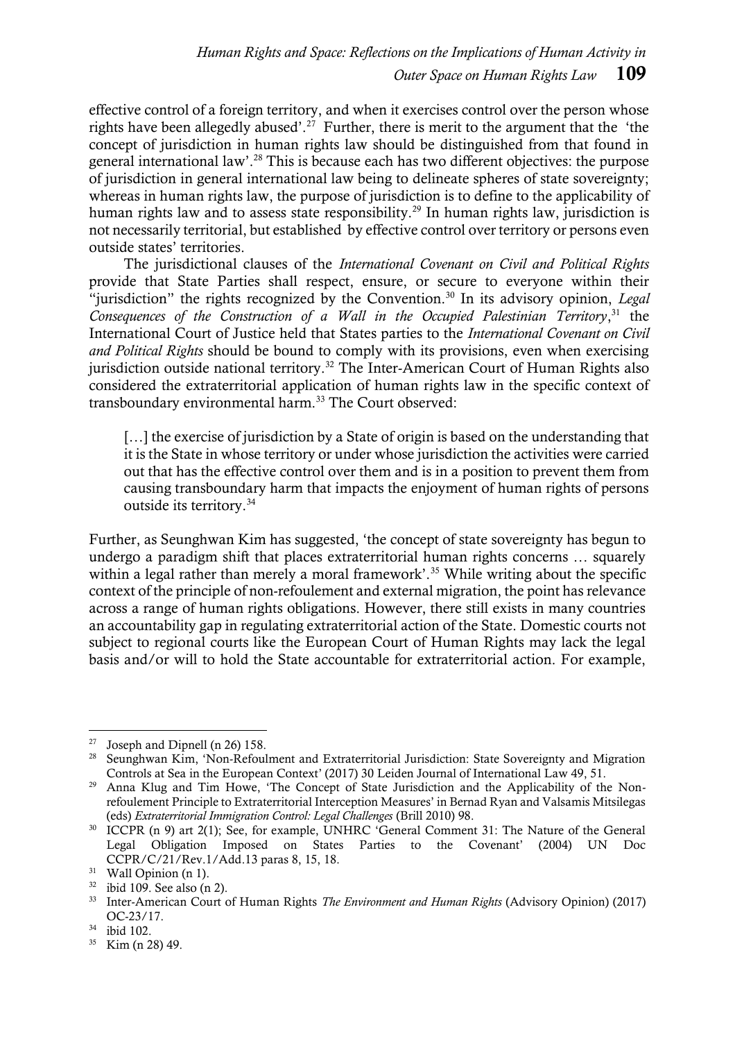effective control of a foreign territory, and when it exercises control over the person whose rights have been allegedly abused'.<sup>27</sup> Further, there is merit to the argument that the 'the concept of jurisdiction in human rights law should be distinguished from that found in general international law'.<sup>28</sup> This is because each has two different objectives: the purpose of jurisdiction in general international law being to delineate spheres of state sovereignty; whereas in human rights law, the purpose of jurisdiction is to define to the applicability of human rights law and to assess state responsibility.<sup>29</sup> In human rights law, jurisdiction is not necessarily territorial, but established by effective control over territory or persons even outside states' territories.

The jurisdictional clauses of the *International Covenant on Civil and Political Rights* provide that State Parties shall respect, ensure, or secure to everyone within their "jurisdiction" the rights recognized by the Convention.<sup>30</sup> In its advisory opinion, *Legal Consequences of the Construction of a Wall in the Occupied Palestinian Territory*, <sup>31</sup> the International Court of Justice held that States parties to the *International Covenant on Civil and Political Rights* should be bound to comply with its provisions, even when exercising jurisdiction outside national territory.<sup>32</sup> The Inter-American Court of Human Rights also considered the extraterritorial application of human rights law in the specific context of transboundary environmental harm.<sup>33</sup> The Court observed:

[...] the exercise of jurisdiction by a State of origin is based on the understanding that it is the State in whose territory or under whose jurisdiction the activities were carried out that has the effective control over them and is in a position to prevent them from causing transboundary harm that impacts the enjoyment of human rights of persons outside its territory.<sup>34</sup>

Further, as Seunghwan Kim has suggested, 'the concept of state sovereignty has begun to undergo a paradigm shift that places extraterritorial human rights concerns … squarely within a legal rather than merely a moral framework'.<sup>35</sup> While writing about the specific context of the principle of non-refoulement and external migration, the point has relevance across a range of human rights obligations. However, there still exists in many countries an accountability gap in regulating extraterritorial action of the State. Domestic courts not subject to regional courts like the European Court of Human Rights may lack the legal basis and/or will to hold the State accountable for extraterritorial action. For example,

Joseph and Dipnell (n 26) 158.

<sup>&</sup>lt;sup>28</sup> Seunghwan Kim, 'Non-Refoulment and Extraterritorial Jurisdiction: State Sovereignty and Migration Controls at Sea in the European Context' (2017) 30 Leiden Journal of International Law 49, 51.

<sup>&</sup>lt;sup>29</sup> Anna Klug and Tim Howe, 'The Concept of State Jurisdiction and the Applicability of the Nonrefoulement Principle to Extraterritorial Interception Measures' in Bernad Ryan and Valsamis Mitsilegas (eds) *Extraterritorial Immigration Control: Legal Challenges* (Brill 2010) 98.

<sup>30</sup> ICCPR (n 9) art 2(1); See, for example, UNHRC 'General Comment 31: The Nature of the General Legal Obligation Imposed on States Parties to the Covenant' (2004) UN Doc CCPR/C/21/Rev.1/Add.13 paras 8, 15, 18.

<sup>&</sup>lt;sup>31</sup> Wall Opinion (n 1).

 $32$  ibid 109. See also (n 2).

<sup>33</sup> Inter-American Court of Human Rights *The Environment and Human Rights* (Advisory Opinion) (2017) OC-23/17.

<sup>34</sup> ibid 102.

<sup>35</sup> Kim (n 28) 49.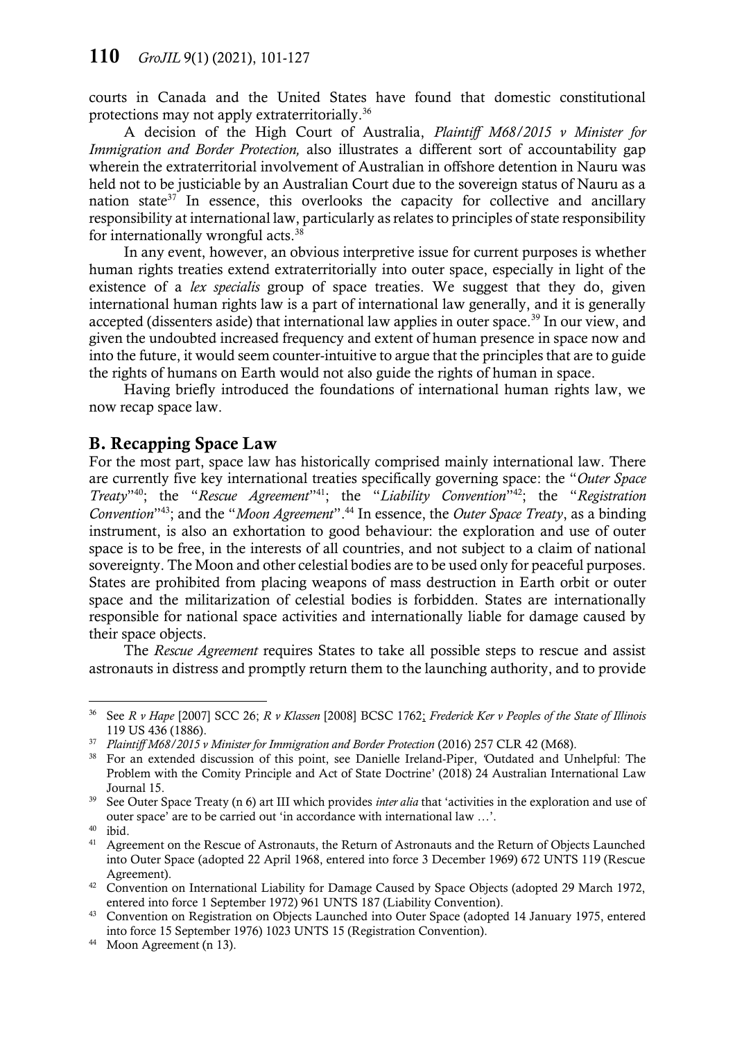courts in Canada and the United States have found that domestic constitutional protections may not apply extraterritorially.<sup>36</sup>

A decision of the High Court of Australia, *Plaintiff M68/2015 v Minister for Immigration and Border Protection,* also illustrates a different sort of accountability gap wherein the extraterritorial involvement of Australian in offshore detention in Nauru was held not to be justiciable by an Australian Court due to the sovereign status of Nauru as a nation state $37$  In essence, this overlooks the capacity for collective and ancillary responsibility at international law, particularly as relates to principles of state responsibility for internationally wrongful acts.<sup>38</sup>

In any event, however, an obvious interpretive issue for current purposes is whether human rights treaties extend extraterritorially into outer space, especially in light of the existence of a *lex specialis* group of space treaties. We suggest that they do, given international human rights law is a part of international law generally, and it is generally accepted (dissenters aside) that international law applies in outer space.<sup>39</sup> In our view, and given the undoubted increased frequency and extent of human presence in space now and into the future, it would seem counter-intuitive to argue that the principles that are to guide the rights of humans on Earth would not also guide the rights of human in space.

Having briefly introduced the foundations of international human rights law, we now recap space law.

#### B. Recapping Space Law

For the most part, space law has historically comprised mainly international law. There are currently five key international treaties specifically governing space: the "*Outer Space Treaty*" <sup>40</sup>; the "*Rescue Agreement*" <sup>41</sup>; the "*Liability Convention*" <sup>42</sup>; the "*Registration Convention*" <sup>43</sup>; and the "*Moon Agreement*".<sup>44</sup> In essence, the *Outer Space Treaty*, as a binding instrument, is also an exhortation to good behaviour: the exploration and use of outer space is to be free, in the interests of all countries, and not subject to a claim of national sovereignty. The Moon and other celestial bodies are to be used only for peaceful purposes. States are prohibited from placing weapons of mass destruction in Earth orbit or outer space and the militarization of celestial bodies is forbidden. States are internationally responsible for national space activities and internationally liable for damage caused by their space objects.

The *Rescue Agreement* requires States to take all possible steps to rescue and assist astronauts in distress and promptly return them to the launching authority, and to provide

<sup>36</sup> See *R v Hape* [2007] SCC 26; *R v Klassen* [2008] BCSC 1762; *Frederick Ker v Peoples of the State of Illinois* 119 US 436 (1886).

<sup>37</sup> *Plaintiff M68/2015 v Minister for Immigration and Border Protection* (2016) 257 CLR 42 (M68).

<sup>38</sup> For an extended discussion of this point, see Danielle Ireland-Piper, *'*Outdated and Unhelpful: The Problem with the Comity Principle and Act of State Doctrine' (2018) 24 Australian International Law Journal 15.

<sup>39</sup> See Outer Space Treaty (n 6) art III which provides *inter alia* that 'activities in the exploration and use of outer space' are to be carried out 'in accordance with international law …'.

<sup>40</sup> ibid.

<sup>&</sup>lt;sup>41</sup> Agreement on the Rescue of Astronauts, the Return of Astronauts and the Return of Objects Launched into Outer Space (adopted 22 April 1968, entered into force 3 December 1969) 672 UNTS 119 (Rescue Agreement).

<sup>&</sup>lt;sup>42</sup> Convention on International Liability for Damage Caused by Space Objects (adopted 29 March 1972, entered into force 1 September 1972) 961 UNTS 187 (Liability Convention).

<sup>43</sup> Convention on Registration on Objects Launched into Outer Space (adopted 14 January 1975, entered into force 15 September 1976) 1023 UNTS 15 (Registration Convention).

<sup>44</sup> Moon Agreement (n [13\)](#page-4-1).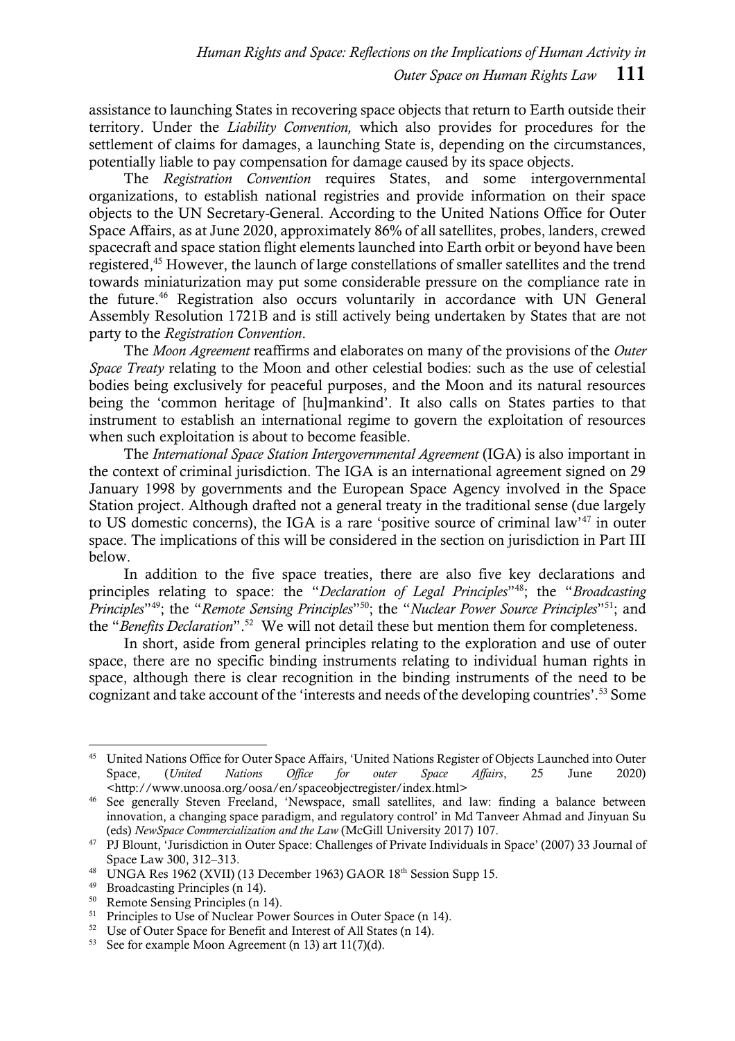assistance to launching States in recovering space objects that return to Earth outside their territory. Under the *Liability Convention,* which also provides for procedures for the settlement of claims for damages, a launching State is, depending on the circumstances, potentially liable to pay compensation for damage caused by its space objects.

The *Registration Convention* requires States, and some intergovernmental organizations, to establish national registries and provide information on their space objects to the UN Secretary-General. According to the United Nations Office for Outer Space Affairs, as at June 2020, approximately 86% of all satellites, probes, landers, crewed spacecraft and space station flight elements launched into Earth orbit or beyond have been registered, <sup>45</sup> However, the launch of large constellations of smaller satellites and the trend towards miniaturization may put some considerable pressure on the compliance rate in the future. <sup>46</sup> Registration also occurs voluntarily in accordance with UN General Assembly Resolution 1721B and is still actively being undertaken by States that are not party to the *Registration Convention*.

The *Moon Agreement* reaffirms and elaborates on many of the provisions of the *Outer Space Treaty* relating to the Moon and other celestial bodies: such as the use of celestial bodies being exclusively for peaceful purposes, and the Moon and its natural resources being the 'common heritage of [hu]mankind'. It also calls on States parties to that instrument to establish an international regime to govern the exploitation of resources when such exploitation is about to become feasible.

The *International Space Station Intergovernmental Agreement* (IGA) is also important in the context of criminal jurisdiction. The IGA is an international agreement signed on 29 January 1998 by governments and the European Space Agency involved in the Space Station project. Although drafted not a general treaty in the traditional sense (due largely to US domestic concerns), the IGA is a rare 'positive source of criminal law'<sup>47</sup> in outer space. The implications of this will be considered in the section on jurisdiction in Part III below.

In addition to the five space treaties, there are also five key declarations and principles relating to space: the "*Declaration of Legal Principles*" <sup>48</sup>; the "*Broadcasting Principles*<sup>149</sup>; the "*Remote Sensing Principles*<sup>150</sup>; the "*Nuclear Power Source Principles*<sup>151</sup>; and the "*Benefits Declaration*". 52 We will not detail these but mention them for completeness.

In short, aside from general principles relating to the exploration and use of outer space, there are no specific binding instruments relating to individual human rights in space, although there is clear recognition in the binding instruments of the need to be cognizant and take account of the 'interests and needs of the developing countries'. <sup>53</sup> Some

<sup>45</sup> United Nations Office for Outer Space Affairs, 'United Nations Register of Objects Launched into Outer Space, (*United Nations Office for outer Space Affairs*, 25 June 2020) <http://www.unoosa.org/oosa/en/spaceobjectregister/index.html>

<sup>&</sup>lt;sup>46</sup> See generally Steven Freeland, 'Newspace, small satellites, and law: finding a balance between innovation, a changing space paradigm, and regulatory control' in Md Tanveer Ahmad and Jinyuan Su (eds) *NewSpace Commercialization and the Law* (McGill University 2017) 107.

<sup>47</sup> PJ Blount, 'Jurisdiction in Outer Space: Challenges of Private Individuals in Space' (2007) 33 Journal of Space Law 300, 312–313.

<sup>&</sup>lt;sup>48</sup> UNGA Res 1962 (XVII) (13 December 1963) GAOR 18<sup>th</sup> Session Supp 15.

<sup>&</sup>lt;sup>49</sup> Broadcasting Principles (n [14\)](#page-5-0).<br> $^{50}$  Remote Sensing Principles (n 1

Remote Sensing Principles ([n 14\)](#page-5-0).

<sup>&</sup>lt;sup>51</sup> Principles to Use of Nuclear Power Sources in Outer Space (n [14\)](#page-5-0).

<sup>52</sup> Use of Outer Space for Benefit and Interest of All States ([n 14\)](#page-5-0).

<sup>53</sup> See for example Moon Agreement (n 13) art 11(7)(d).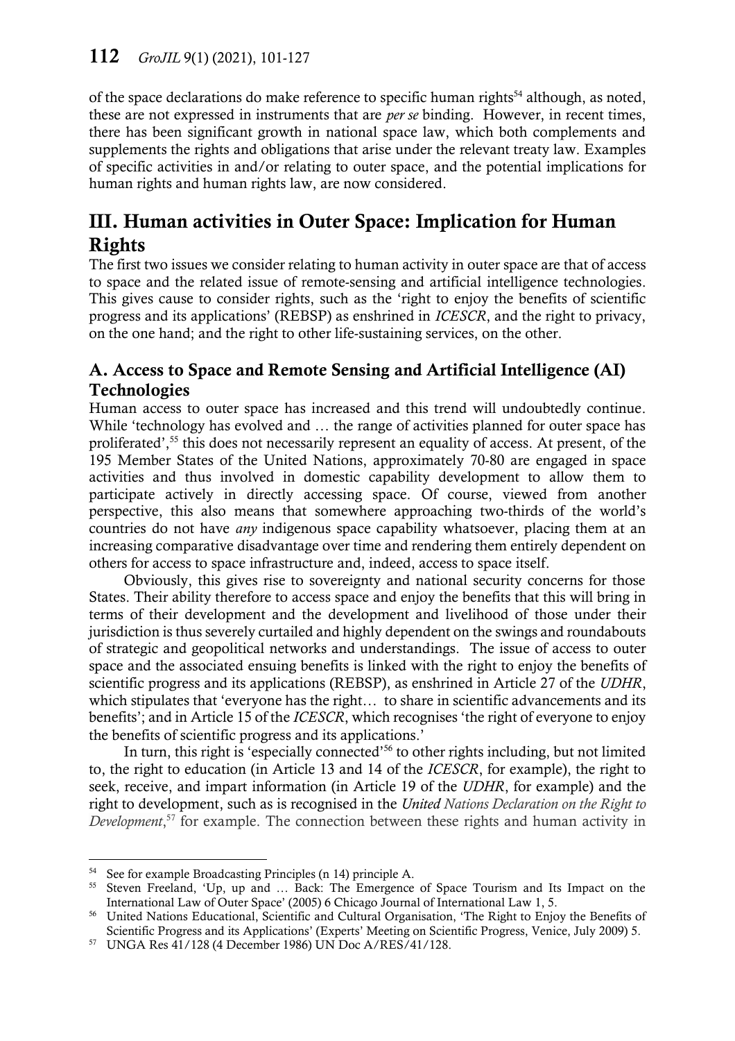of the space declarations do make reference to specific human rights<sup>54</sup> although, as noted, these are not expressed in instruments that are *per se* binding. However, in recent times, there has been significant growth in national space law, which both complements and supplements the rights and obligations that arise under the relevant treaty law. Examples of specific activities in and/or relating to outer space, and the potential implications for human rights and human rights law, are now considered.

# III. Human activities in Outer Space: Implication for Human Rights

The first two issues we consider relating to human activity in outer space are that of access to space and the related issue of remote-sensing and artificial intelligence technologies. This gives cause to consider rights, such as the 'right to enjoy the benefits of scientific progress and its applications' (REBSP) as enshrined in *ICESCR*, and the right to privacy, on the one hand; and the right to other life-sustaining services, on the other.

## A. Access to Space and Remote Sensing and Artificial Intelligence (AI) **Technologies**

Human access to outer space has increased and this trend will undoubtedly continue. While 'technology has evolved and … the range of activities planned for outer space has proliferated',<sup>55</sup> this does not necessarily represent an equality of access. At present, of the 195 Member States of the United Nations, approximately 70-80 are engaged in space activities and thus involved in domestic capability development to allow them to participate actively in directly accessing space. Of course, viewed from another perspective, this also means that somewhere approaching two-thirds of the world's countries do not have *any* indigenous space capability whatsoever, placing them at an increasing comparative disadvantage over time and rendering them entirely dependent on others for access to space infrastructure and, indeed, access to space itself.

Obviously, this gives rise to sovereignty and national security concerns for those States. Their ability therefore to access space and enjoy the benefits that this will bring in terms of their development and the development and livelihood of those under their jurisdiction is thus severely curtailed and highly dependent on the swings and roundabouts of strategic and geopolitical networks and understandings. The issue of access to outer space and the associated ensuing benefits is linked with the right to enjoy the benefits of scientific progress and its applications (REBSP), as enshrined in Article 27 of the *UDHR*, which stipulates that 'everyone has the right… to share in scientific advancements and its benefits'; and in Article 15 of the *ICESCR*, which recognises 'the right of everyone to enjoy the benefits of scientific progress and its applications.'

In turn, this right is 'especially connected'<sup>56</sup> to other rights including, but not limited to, the right to education (in Article 13 and 14 of the *ICESCR*, for example), the right to seek, receive, and impart information (in Article 19 of the *UDHR*, for example) and the right to development, such as is recognised in the *United Nations Declaration on the Right to Development*, <sup>57</sup> for example. The connection between these rights and human activity in

See for example Broadcasting Principles (n [14\)](#page-5-0) principle A.

<sup>55</sup> Steven Freeland, 'Up, up and … Back: The Emergence of Space Tourism and Its Impact on the International Law of Outer Space' (2005) 6 Chicago Journal of International Law 1, 5.

<sup>56</sup> United Nations Educational, Scientific and Cultural Organisation, 'The Right to Enjoy the Benefits of Scientific Progress and its Applications' (Experts' Meeting on Scientific Progress, Venice, July 2009) 5.

<sup>57</sup> UNGA Res 41/128 (4 December 1986) UN Doc A/RES/41/128.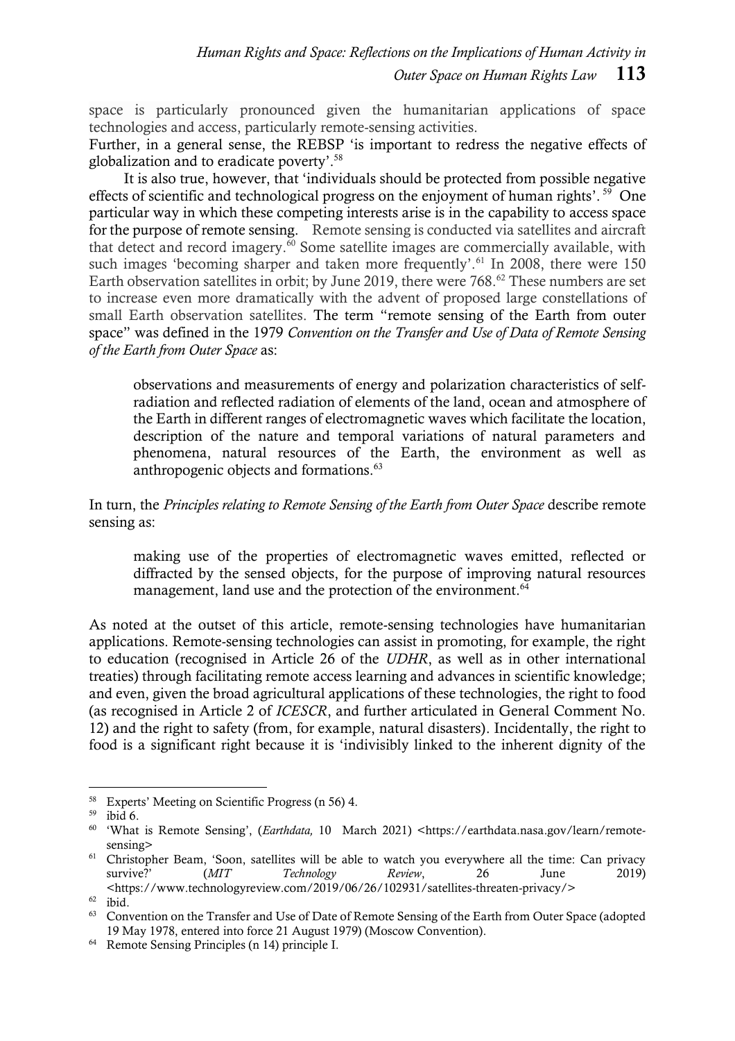space is particularly pronounced given the humanitarian applications of space technologies and access, particularly remote-sensing activities.

Further, in a general sense, the REBSP 'is important to redress the negative effects of globalization and to eradicate poverty'. 58

It is also true, however, that 'individuals should be protected from possible negative effects of scientific and technological progress on the enjoyment of human rights'.<sup>59</sup> One particular way in which these competing interests arise is in the capability to access space for the purpose of remote sensing. Remote sensing is conducted via satellites and aircraft that detect and record imagery.<sup>60</sup> Some satellite images are commercially available, with such images 'becoming sharper and taken more frequently'.<sup>61</sup> In 2008, there were 150 Earth observation satellites in orbit; by June 2019, there were 768.<sup>62</sup> These numbers are set to increase even more dramatically with the advent of proposed large constellations of small Earth observation satellites. The term "remote sensing of the Earth from outer space" was defined in the 1979 *Convention on the Transfer and Use of Data of Remote Sensing of the Earth from Outer Space* as:

observations and measurements of energy and polarization characteristics of selfradiation and reflected radiation of elements of the land, ocean and atmosphere of the Earth in different ranges of electromagnetic waves which facilitate the location, description of the nature and temporal variations of natural parameters and phenomena, natural resources of the Earth, the environment as well as anthropogenic objects and formations.<sup>63</sup>

In turn, the *Principles relating to Remote Sensing of the Earth from Outer Space* describe remote sensing as:

making use of the properties of electromagnetic waves emitted, reflected or diffracted by the sensed objects, for the purpose of improving natural resources management, land use and the protection of the environment.<sup>64</sup>

As noted at the outset of this article, remote-sensing technologies have humanitarian applications. Remote-sensing technologies can assist in promoting, for example, the right to education (recognised in Article 26 of the *UDHR*, as well as in other international treaties) through facilitating remote access learning and advances in scientific knowledge; and even, given the broad agricultural applications of these technologies, the right to food (as recognised in Article 2 of *ICESCR*, and further articulated in General Comment No. 12) and the right to safety (from, for example, natural disasters). Incidentally, the right to food is a significant right because it is 'indivisibly linked to the inherent dignity of the

 $\overline{a}$ <sup>58</sup> Experts' Meeting on Scientific Progress (n 56) 4.

<sup>59</sup> ibid 6.

<sup>60</sup> 'What is Remote Sensing', (*Earthdata,* 10 March 2021) <https://earthdata.nasa.gov/learn/remotesensing>

<sup>&</sup>lt;sup>61</sup> Christopher Beam, 'Soon, satellites will be able to watch you everywhere all the time: Can privacy survive?' (*MIT Technology Review*, 26 June 2019) <https://www.technologyreview.com/2019/06/26/102931/satellites-threaten-privacy/>

 $62$  ibid.

<sup>&</sup>lt;sup>63</sup> Convention on the Transfer and Use of Date of Remote Sensing of the Earth from Outer Space (adopted 19 May 1978, entered into force 21 August 1979) (Moscow Convention).

<sup>64</sup> Remote Sensing Principles ([n 14\)](#page-5-0) principle I.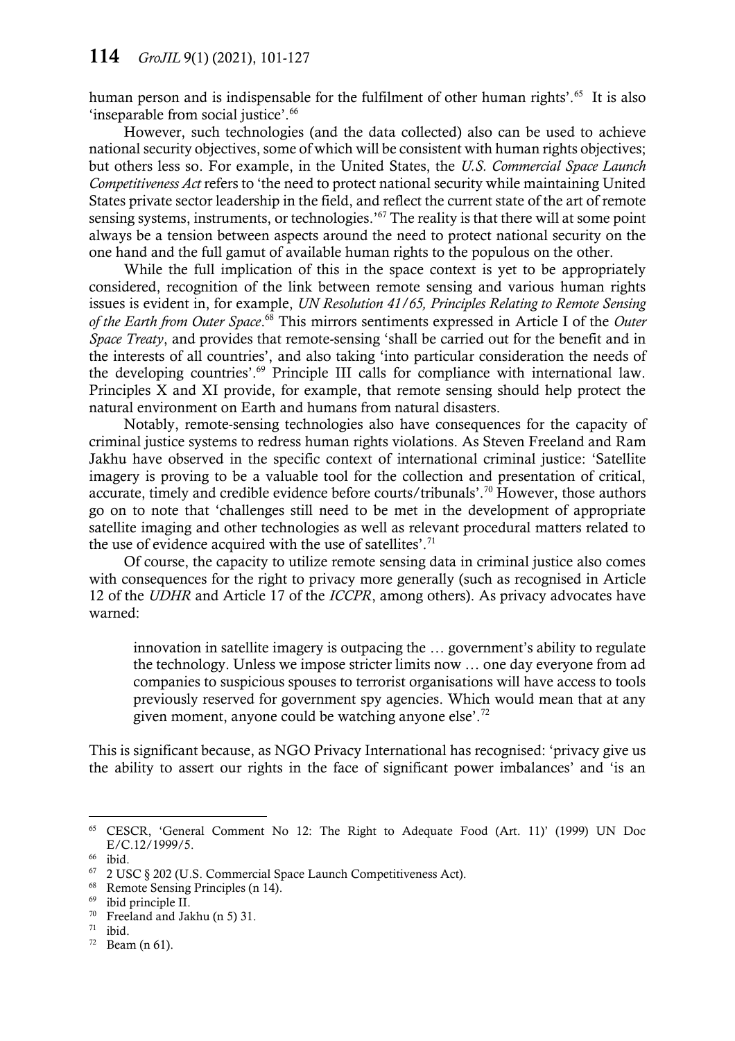human person and is indispensable for the fulfilment of other human rights'.<sup>65</sup> It is also 'inseparable from social justice'.<sup>66</sup>

However, such technologies (and the data collected) also can be used to achieve national security objectives, some of which will be consistent with human rights objectives; but others less so. For example, in the United States, the *U.S. Commercial Space Launch Competitiveness Act* refers to 'the need to protect national security while maintaining United States private sector leadership in the field, and reflect the current state of the art of remote sensing systems, instruments, or technologies.'<sup>67</sup> The reality is that there will at some point always be a tension between aspects around the need to protect national security on the one hand and the full gamut of available human rights to the populous on the other.

While the full implication of this in the space context is yet to be appropriately considered, recognition of the link between remote sensing and various human rights issues is evident in, for example, *UN Resolution 41/65, Principles Relating to Remote Sensing of the Earth from Outer Space*. <sup>68</sup> This mirrors sentiments expressed in Article I of the *Outer Space Treaty*, and provides that remote-sensing 'shall be carried out for the benefit and in the interests of all countries', and also taking 'into particular consideration the needs of the developing countries'.<sup>69</sup> Principle III calls for compliance with international law. Principles X and XI provide, for example, that remote sensing should help protect the natural environment on Earth and humans from natural disasters.

Notably, remote-sensing technologies also have consequences for the capacity of criminal justice systems to redress human rights violations. As Steven Freeland and Ram Jakhu have observed in the specific context of international criminal justice: 'Satellite imagery is proving to be a valuable tool for the collection and presentation of critical, accurate, timely and credible evidence before courts/tribunals'.<sup>70</sup> However, those authors go on to note that 'challenges still need to be met in the development of appropriate satellite imaging and other technologies as well as relevant procedural matters related to the use of evidence acquired with the use of satellites'.<sup>71</sup>

Of course, the capacity to utilize remote sensing data in criminal justice also comes with consequences for the right to privacy more generally (such as recognised in Article 12 of the *UDHR* and Article 17 of the *ICCPR*, among others). As privacy advocates have warned:

innovation in satellite imagery is outpacing the … government's ability to regulate the technology. Unless we impose stricter limits now … one day everyone from ad companies to suspicious spouses to terrorist organisations will have access to tools previously reserved for government spy agencies. Which would mean that at any given moment, anyone could be watching anyone else'.<sup>72</sup>

This is significant because, as NGO Privacy International has recognised: 'privacy give us the ability to assert our rights in the face of significant power imbalances' and 'is an

<sup>65</sup> CESCR, 'General Comment No 12: The Right to Adequate Food (Art. 11)' (1999) UN Doc E/C.12/1999/5.

<sup>66</sup> ibid.

<sup>67</sup> 2 USC § 202 (U.S. Commercial Space Launch Competitiveness Act).

<sup>&</sup>lt;sup>68</sup> Remote Sensing Principles ([n 14\)](#page-5-0).

ibid principle II.

<sup>70</sup> Freeland and Jakhu (n 5) 31.

 $71$  ibid.

 $72$  Beam (n 61).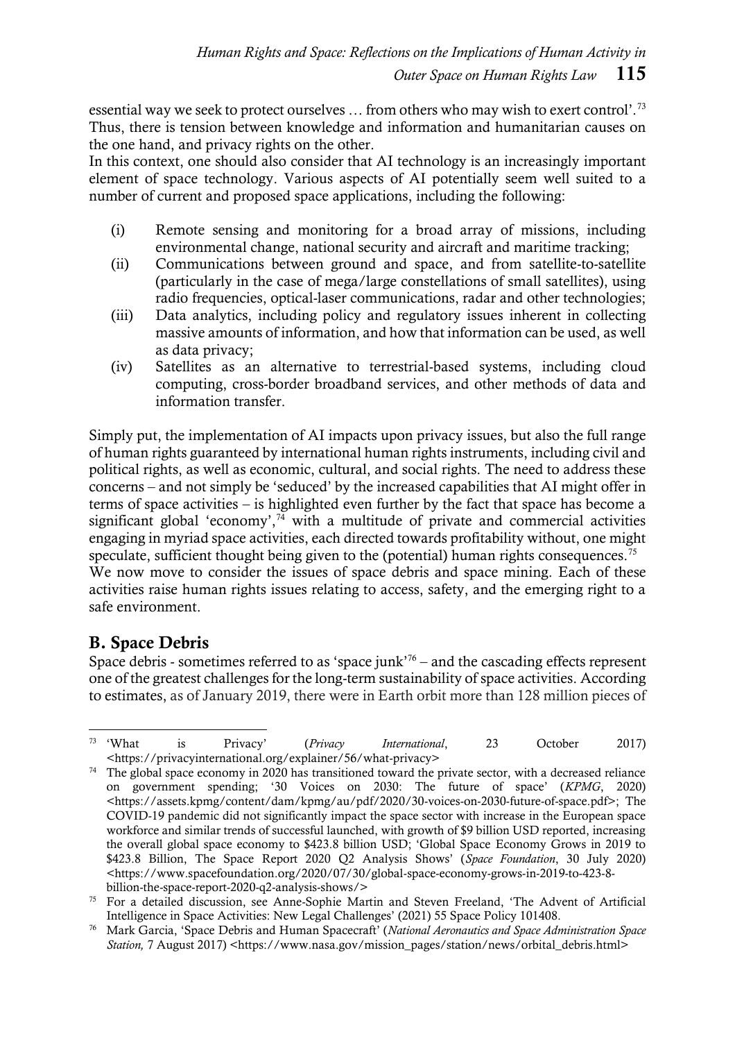essential way we seek to protect ourselves … from others who may wish to exert control'.<sup>73</sup> Thus, there is tension between knowledge and information and humanitarian causes on the one hand, and privacy rights on the other.

In this context, one should also consider that AI technology is an increasingly important element of space technology. Various aspects of AI potentially seem well suited to a number of current and proposed space applications, including the following:

- (i) Remote sensing and monitoring for a broad array of missions, including environmental change, national security and aircraft and maritime tracking;
- (ii) Communications between ground and space, and from satellite-to-satellite (particularly in the case of mega/large constellations of small satellites), using radio frequencies, optical-laser communications, radar and other technologies;
- (iii) Data analytics, including policy and regulatory issues inherent in collecting massive amounts of information, and how that information can be used, as well as data privacy;
- (iv) Satellites as an alternative to terrestrial-based systems, including cloud computing, cross-border broadband services, and other methods of data and information transfer.

Simply put, the implementation of AI impacts upon privacy issues, but also the full range of human rights guaranteed by international human rights instruments, including civil and political rights, as well as economic, cultural, and social rights. The need to address these concerns – and not simply be 'seduced' by the increased capabilities that AI might offer in terms of space activities – is highlighted even further by the fact that space has become a significant global 'economy', $74$  with a multitude of private and commercial activities engaging in myriad space activities, each directed towards profitability without, one might speculate, sufficient thought being given to the (potential) human rights consequences.<sup>75</sup> We now move to consider the issues of space debris and space mining. Each of these activities raise human rights issues relating to access, safety, and the emerging right to a safe environment.

## B. Space Debris

Space debris - sometimes referred to as 'space junk'<sup>76</sup> – and the cascading effects represent one of the greatest challenges for the long-term sustainability of space activities. According to estimates, as of January 2019, there were in Earth orbit more than 128 million pieces of

 $73$  'What <sup>73</sup> 'What is Privacy' (*Privacy International*, 23 October 2017) <https://privacyinternational.org/explainer/56/what-privacy>

<sup>&</sup>lt;sup>74</sup> The global space economy in 2020 has transitioned toward the private sector, with a decreased reliance on government spending; '30 Voices on 2030: The future of space' (*KPMG*, 2020) <https://assets.kpmg/content/dam/kpmg/au/pdf/2020/30-voices-on-2030-future-of-space.pdf>; The COVID-19 pandemic did not significantly impact the space sector with increase in the European space workforce and similar trends of successful launched, with growth of \$9 billion USD reported, increasing the overall global space economy to \$423.8 billion USD; 'Global Space Economy Grows in 2019 to \$423.8 Billion, The Space Report 2020 Q2 Analysis Shows' (*Space Foundation*, 30 July 2020) <https://www.spacefoundation.org/2020/07/30/global-space-economy-grows-in-2019-to-423-8 billion-the-space-report-2020-q2-analysis-shows/>

<sup>75</sup> For a detailed discussion, see Anne-Sophie Martin and Steven Freeland, 'The Advent of Artificial Intelligence in Space Activities: New Legal Challenges' (2021) 55 Space Policy 101408.

<sup>76</sup> Mark Garcia, 'Space Debris and Human Spacecraft' (*National Aeronautics and Space Administration Space*  Station, 7 August 2017) <https://www.nasa.gov/mission\_pages/station/news/orbital\_debris.html>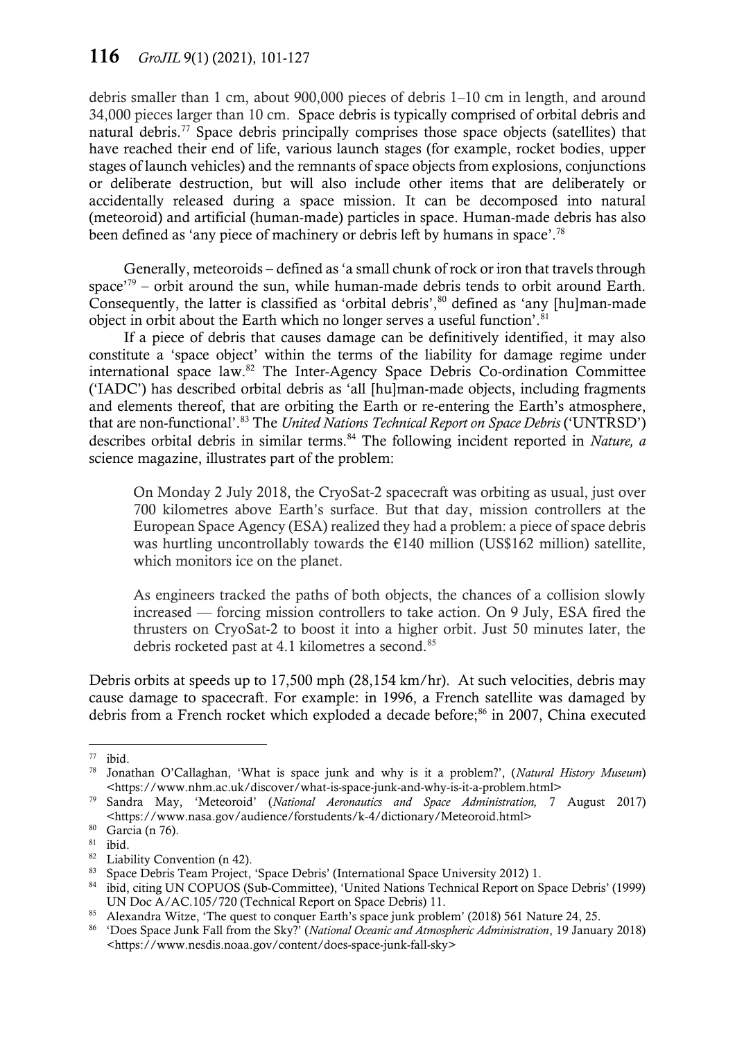debris smaller than 1 cm, about 900,000 pieces of debris 1–10 cm in length, and around 34,000 pieces larger than 10 cm. Space debris is typically comprised of orbital debris and natural debris.<sup>77</sup> Space debris principally comprises those space objects (satellites) that have reached their end of life, various launch stages (for example, rocket bodies, upper stages of launch vehicles) and the remnants of space objects from explosions, conjunctions or deliberate destruction, but will also include other items that are deliberately or accidentally released during a space mission. It can be decomposed into natural (meteoroid) and artificial (human-made) particles in space. Human-made debris has also been defined as 'any piece of machinery or debris left by humans in space'.<sup>78</sup>

Generally, meteoroids – defined as 'a small chunk of rock or iron that travels through space<sup>'79</sup> – orbit around the sun, while human-made debris tends to orbit around Earth. Consequently, the latter is classified as 'orbital debris', $80$  defined as 'any [hu]man-made object in orbit about the Earth which no longer serves a useful function'.<sup>81</sup>

If a piece of debris that causes damage can be definitively identified, it may also constitute a 'space object' within the terms of the liability for damage regime under international space law.<sup>82</sup> The Inter-Agency Space Debris Co-ordination Committee ('IADC') has described orbital debris as 'all [hu]man-made objects, including fragments and elements thereof, that are orbiting the Earth or re-entering the Earth's atmosphere, that are non-functional'.<sup>83</sup> The *United Nations Technical Report on Space Debris* ('UNTRSD') describes orbital debris in similar terms. <sup>84</sup> The following incident reported in *Nature, a*  science magazine, illustrates part of the problem:

On Monday 2 July 2018, the CryoSat-2 spacecraft was orbiting as usual, just over 700 kilometres above Earth's surface. But that day, mission controllers at the European Space Agency (ESA) realized they had a problem: a piece of space debris was hurtling uncontrollably towards the  $E140$  million (US\$162 million) satellite, which monitors ice on the planet.

As engineers tracked the paths of both objects, the chances of a collision slowly increased — forcing mission controllers to take action. On 9 July, ESA fired the thrusters on CryoSat-2 to boost it into a higher orbit. Just 50 minutes later, the debris rocketed past at 4.1 kilometres a second.<sup>85</sup>

Debris orbits at speeds up to 17,500 mph (28,154 km/hr). At such velocities, debris may cause damage to spacecraft. For example: in 1996, a French satellite was damaged by debris from a French rocket which exploded a decade before;<sup>86</sup> in 2007, China executed

 $\overline{a}$  $77$  ibid.

<sup>78</sup> Jonathan O'Callaghan, 'What is space junk and why is it a problem?', (*Natural History Museum*) <https://www.nhm.ac.uk/discover/what-is-space-junk-and-why-is-it-a-problem.html>

<sup>79</sup> Sandra May, 'Meteoroid' (*National Aeronautics and Space Administration,* 7 August 2017) <https://www.nasa.gov/audience/forstudents/k-4/dictionary/Meteoroid.html>

 $\frac{80}{81}$  Garcia (n 76).

ibid.

 $\frac{82}{83}$  Liability Convention (n 42).

Space Debris Team Project, 'Space Debris' (International Space University 2012) 1.

<sup>84</sup> ibid, citing UN COPUOS (Sub-Committee), 'United Nations Technical Report on Space Debris' (1999) UN Doc A/AC.105/720 (Technical Report on Space Debris) 11.

<sup>&</sup>lt;sup>85</sup> Alexandra Witze, 'The quest to conquer Earth's space junk problem' (2018) 561 Nature 24, 25.

<sup>86</sup> 'Does Space Junk Fall from the Sky?' (*National Oceanic and Atmospheric Administration*, 19 January 2018) <https://www.nesdis.noaa.gov/content/does-space-junk-fall-sky>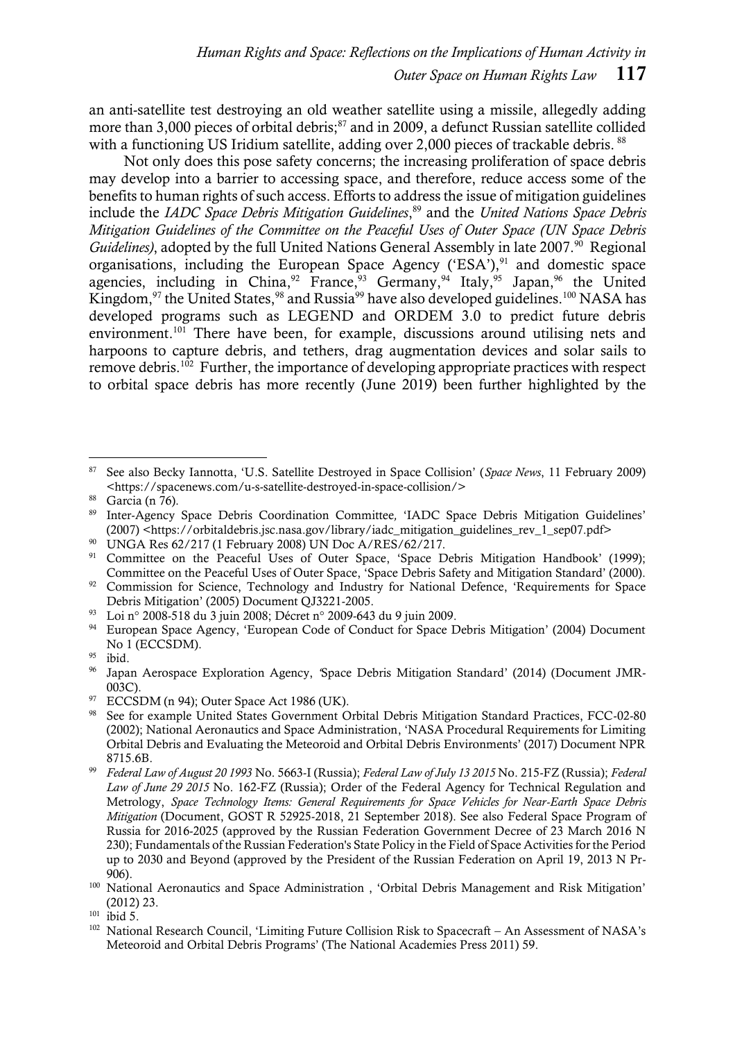an anti-satellite test destroying an old weather satellite using a missile, allegedly adding more than 3,000 pieces of orbital debris;<sup>87</sup> and in 2009, a defunct Russian satellite collided with a functioning US Iridium satellite, adding over 2,000 pieces of trackable debris. <sup>88</sup>

Not only does this pose safety concerns; the increasing proliferation of space debris may develop into a barrier to accessing space, and therefore, reduce access some of the benefits to human rights of such access. Efforts to address the issue of mitigation guidelines include the *IADC Space Debris Mitigation Guidelines*, <sup>89</sup> and the *United Nations Space Debris Mitigation Guidelines of the Committee on the Peaceful Uses of Outer Space (UN Space Debris Guidelines*), adopted by the full United Nations General Assembly in late 2007.<sup>90</sup> Regional organisations, including the European Space Agency ('ESA'), $91$  and domestic space agencies, including in China,  $92$  France,  $93$  Germany,  $94$  Italy,  $95$  Japan,  $96$  the United Kingdom,<sup>97</sup> the United States,<sup>98</sup> and Russia<sup>99</sup> have also developed guidelines.<sup>100</sup> NASA has developed programs such as LEGEND and ORDEM 3.0 to predict future debris environment.<sup>101</sup> There have been, for example, discussions around utilising nets and harpoons to capture debris, and tethers, drag augmentation devices and solar sails to remove debris.<sup>102</sup> Further, the importance of developing appropriate practices with respect to orbital space debris has more recently (June 2019) been further highlighted by the

 $\overline{a}$ <sup>87</sup> See also Becky Iannotta, 'U.S. Satellite Destroyed in Space Collision' (*Space News*, 11 February 2009) <https://spacenews.com/u-s-satellite-destroyed-in-space-collision/>

<sup>&</sup>lt;sup>88</sup> Garcia (n 76).

<sup>89</sup> Inter-Agency Space Debris Coordination Committee*,* 'IADC Space Debris Mitigation Guidelines' (2007) <https://orbitaldebris.jsc.nasa.gov/library/iadc\_mitigation\_guidelines\_rev\_1\_sep07.pdf>

<sup>90</sup> UNGA Res 62/217 (1 February 2008) UN Doc A/RES/62/217.

<sup>&</sup>lt;sup>91</sup> Committee on the Peaceful Uses of Outer Space, 'Space Debris Mitigation Handbook' (1999); Committee on the Peaceful Uses of Outer Space, 'Space Debris Safety and Mitigation Standard' (2000).

<sup>&</sup>lt;sup>92</sup> Commission for Science, Technology and Industry for National Defence, 'Requirements for Space Debris Mitigation' (2005) Document QJ3221-2005.

<sup>93</sup> Loi n° 2008-518 du 3 juin 2008; Décret n° 2009-643 du 9 juin 2009.

<sup>&</sup>lt;sup>94</sup> European Space Agency, 'European Code of Conduct for Space Debris Mitigation' (2004) Document No 1 (ECCSDM).

<sup>95</sup> ibid.

<sup>96</sup> Japan Aerospace Exploration Agency, *'*Space Debris Mitigation Standard' (2014) (Document JMR-003C).

 $97$  ECCSDM (n 94); Outer Space Act 1986 (UK).

<sup>98</sup> See for example United States Government Orbital Debris Mitigation Standard Practices, FCC-02-80 (2002); National Aeronautics and Space Administration, 'NASA Procedural Requirements for Limiting Orbital Debris and Evaluating the Meteoroid and Orbital Debris Environments' (2017) Document NPR 8715.6B.

<sup>99</sup> *Federal Law of August 20 1993* No. 5663-I (Russia); *Federal Law of July 13 2015* No. 215-FZ (Russia); *Federal Law of June 29 2015* No. 162-FZ (Russia); Order of the Federal Agency for Technical Regulation and Metrology, *Space Technology Items: General Requirements for Space Vehicles for Near-Earth Space Debris Mitigation* (Document, GOST R 52925-2018, 21 September 2018). See also Federal Space Program of Russia for 2016-2025 (approved by the Russian Federation Government Decree of 23 March 2016 N 230); Fundamentals of the Russian Federation's State Policy in the Field of Space Activities for the Period up to 2030 and Beyond (approved by the President of the Russian Federation on April 19, 2013 N Pr-906).

<sup>&</sup>lt;sup>100</sup> National Aeronautics and Space Administration, 'Orbital Debris Management and Risk Mitigation' (2012) 23.

 $101$  ibid 5.

<sup>102</sup> National Research Council, 'Limiting Future Collision Risk to Spacecraft – An Assessment of NASA's Meteoroid and Orbital Debris Programs' (The National Academies Press 2011) 59.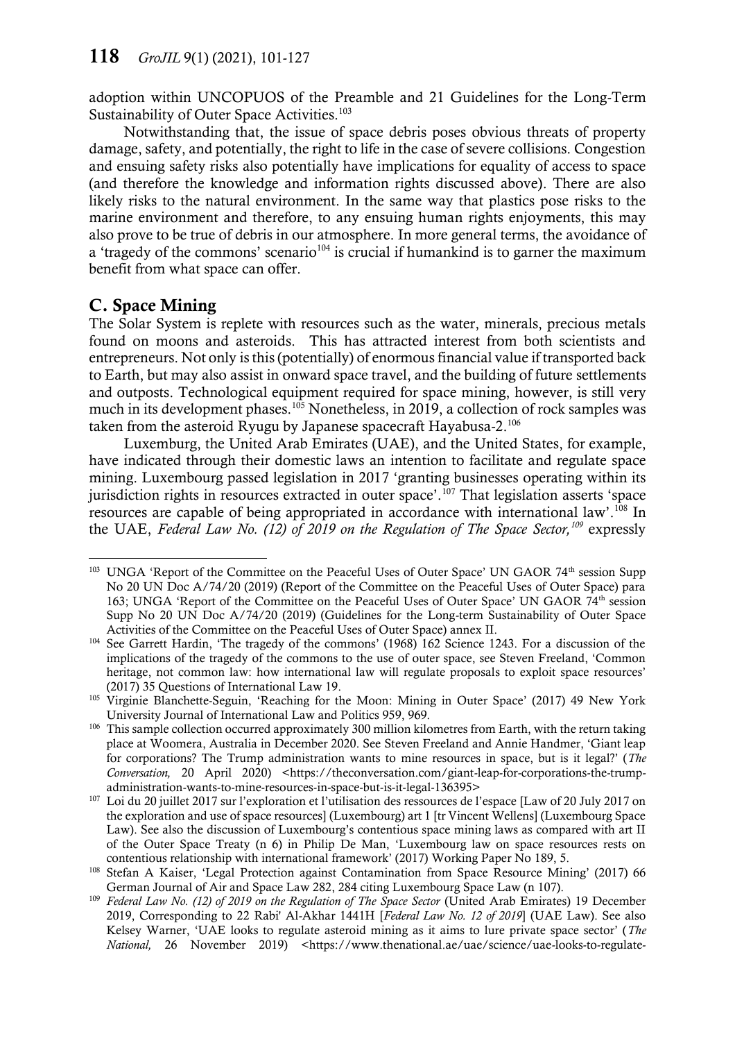adoption within UNCOPUOS of the Preamble and 21 Guidelines for the Long-Term Sustainability of Outer Space Activities.<sup>103</sup>

Notwithstanding that, the issue of space debris poses obvious threats of property damage, safety, and potentially, the right to life in the case of severe collisions. Congestion and ensuing safety risks also potentially have implications for equality of access to space (and therefore the knowledge and information rights discussed above). There are also likely risks to the natural environment. In the same way that plastics pose risks to the marine environment and therefore, to any ensuing human rights enjoyments, this may also prove to be true of debris in our atmosphere. In more general terms, the avoidance of a 'tragedy of the commons' scenario<sup>104</sup> is crucial if humankind is to garner the maximum benefit from what space can offer.

### C. Space Mining

The Solar System is replete with resources such as the water, minerals, precious metals found on moons and asteroids. This has attracted interest from both scientists and entrepreneurs. Not only is this (potentially) of enormousfinancial value if transported back to Earth, but may also assist in onward space travel, and the building of future settlements and outposts. Technological equipment required for space mining, however, is still very much in its development phases.<sup>105</sup> Nonetheless, in 2019, a collection of rock samples was taken from the asteroid Ryugu by Japanese spacecraft Hayabusa-2.<sup>106</sup>

<span id="page-18-0"></span>Luxemburg, the United Arab Emirates (UAE), and the United States, for example, have indicated through their domestic laws an intention to facilitate and regulate space mining. Luxembourg passed legislation in 2017 'granting businesses operating within its jurisdiction rights in resources extracted in outer space'.<sup>107</sup> That legislation asserts 'space resources are capable of being appropriated in accordance with international law'.<sup>108</sup> In the UAE, *Federal Law No. (12) of 2019 on the Regulation of The Space Sector,<sup>109</sup>* expressly

 $\overline{a}$ <sup>103</sup> UNGA 'Report of the Committee on the Peaceful Uses of Outer Space' UN GAOR 74<sup>th</sup> session Supp No 20 UN Doc A/74/20 (2019) (Report of the Committee on the Peaceful Uses of Outer Space) para 163; UNGA 'Report of the Committee on the Peaceful Uses of Outer Space' UN GAOR 74th session Supp No 20 UN Doc A/74/20 (2019) (Guidelines for the Long-term Sustainability of Outer Space Activities of the Committee on the Peaceful Uses of Outer Space) annex II.

<sup>104</sup> See Garrett Hardin, 'The tragedy of the commons' (1968) 162 Science 1243. For a discussion of the implications of the tragedy of the commons to the use of outer space, see Steven Freeland, 'Common heritage, not common law: how international law will regulate proposals to exploit space resources' (2017) 35 Questions of International Law 19.

<sup>&</sup>lt;sup>105</sup> Virginie Blanchette-Seguin, 'Reaching for the Moon: Mining in Outer Space' (2017) 49 New York University Journal of International Law and Politics 959, 969.

<sup>&</sup>lt;sup>106</sup> This sample collection occurred approximately 300 million kilometres from Earth, with the return taking place at Woomera, Australia in December 2020. See Steven Freeland and Annie Handmer, 'Giant leap for corporations? The Trump administration wants to mine resources in space, but is it legal?' (*The Conversation,* 20 April 2020) <https://theconversation.com/giant-leap-for-corporations-the-trumpadministration-wants-to-mine-resources-in-space-but-is-it-legal-136395>

<sup>107</sup> Loi du 20 juillet 2017 sur l'exploration et l'utilisation des ressources de l'espace [Law of 20 July 2017 on the exploration and use of space resources] (Luxembourg) art 1 [tr Vincent Wellens] (Luxembourg Space Law). See also the discussion of Luxembourg's contentious space mining laws as compared with art II of the Outer Space Treaty (n 6) in Philip De Man, 'Luxembourg law on space resources rests on contentious relationship with international framework' (2017) Working Paper No 189, 5.

<sup>&</sup>lt;sup>108</sup> Stefan A Kaiser, 'Legal Protection against Contamination from Space Resource Mining' (2017) 66 German Journal of Air and Space Law 282, 284 citing Luxembourg Space Law (n 107).

<sup>&</sup>lt;sup>109</sup> Federal Law No. (12) of 2019 on the Regulation of The Space Sector (United Arab Emirates) 19 December 2019, Corresponding to 22 Rabi' Al-Akhar 1441H [*Federal Law No. 12 of 2019*] (UAE Law). See also Kelsey Warner, 'UAE looks to regulate asteroid mining as it aims to lure private space sector' (*The National,* 26 November 2019) <https://www.thenational.ae/uae/science/uae-looks-to-regulate-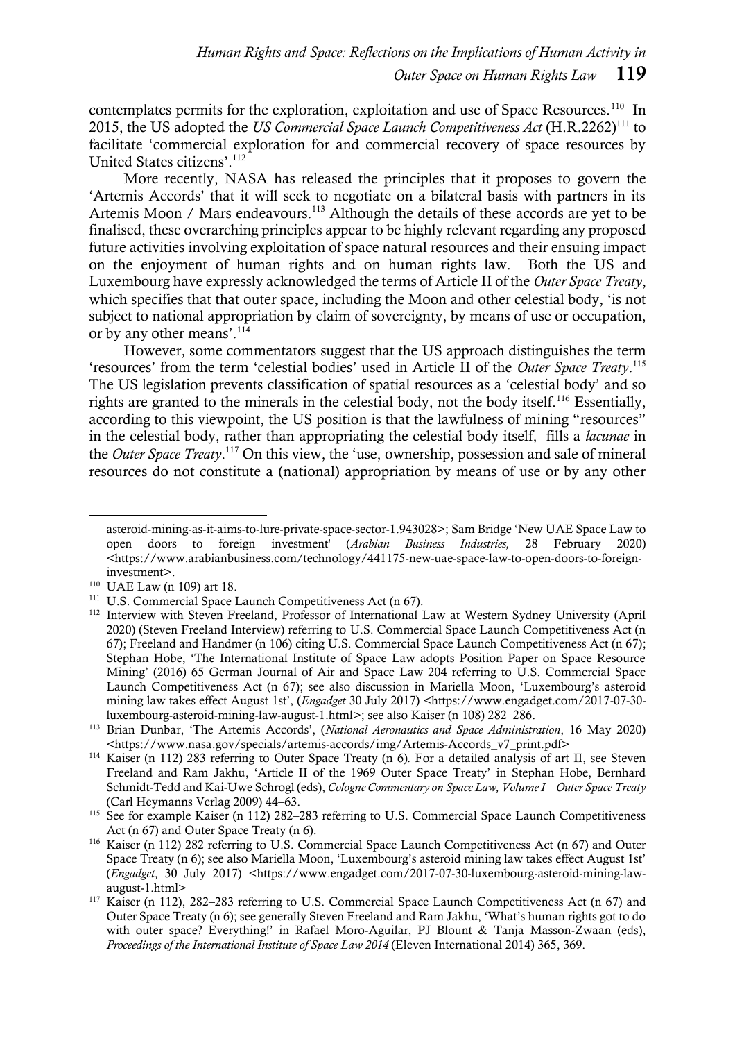contemplates permits for the exploration, exploitation and use of Space Resources.<sup>110</sup> In 2015, the US adopted the *US Commercial Space Launch Competitiveness Act* (H.R.2262)<sup>111</sup> to facilitate 'commercial exploration for and commercial recovery of space resources by United States citizens'.<sup>112</sup>

More recently, NASA has released the principles that it proposes to govern the 'Artemis Accords' that it will seek to negotiate on a bilateral basis with partners in its Artemis Moon / Mars endeavours.<sup>113</sup> Although the details of these accords are yet to be finalised, these overarching principles appear to be highly relevant regarding any proposed future activities involving exploitation of space natural resources and their ensuing impact on the enjoyment of human rights and on human rights law. Both the US and Luxembourg have expressly acknowledged the terms of Article II of the *Outer Space Treaty*, which specifies that that outer space, including the Moon and other celestial body, 'is not subject to national appropriation by claim of sovereignty, by means of use or occupation, or by any other means'.<sup>114</sup>

However, some commentators suggest that the US approach distinguishes the term 'resources' from the term 'celestial bodies' used in Article II of the *Outer Space Treaty*. 115 The US legislation prevents classification of spatial resources as a 'celestial body' and so rights are granted to the minerals in the celestial body, not the body itself.<sup>116</sup> Essentially, according to this viewpoint, the US position is that the lawfulness of mining "resources" in the celestial body, rather than appropriating the celestial body itself, fills a *lacunae* in the *Outer Space Treaty*. <sup>117</sup> On this view, the 'use, ownership, possession and sale of mineral resources do not constitute a (national) appropriation by means of use or by any other

asteroid-mining-as-it-aims-to-lure-private-space-sector-1.943028>; Sam Bridge 'New UAE Space Law to open doors to foreign investment' (*Arabian Business Industries,* 28 February 2020) <https://www.arabianbusiness.com/technology/441175-new-uae-space-law-to-open-doors-to-foreigninvestment>.

<sup>110</sup> UAE Law (n 109) art 18.

<sup>111</sup> U.S. Commercial Space Launch Competitiveness Act (n 67).

<sup>&</sup>lt;sup>112</sup> Interview with Steven Freeland, Professor of International Law at Western Sydney University (April 2020) (Steven Freeland Interview) referring to U.S. Commercial Space Launch Competitiveness Act (n 67); Freeland and Handmer (n [106\)](#page-18-0) citing U.S. Commercial Space Launch Competitiveness Act (n 67); Stephan Hobe, 'The International Institute of Space Law adopts Position Paper on Space Resource Mining' (2016) 65 German Journal of Air and Space Law 204 referring to U.S. Commercial Space Launch Competitiveness Act (n 67); see also discussion in Mariella Moon, 'Luxembourg's asteroid mining law takes effect August 1st', (*Engadget* 30 July 2017) <https://www.engadget.com/2017-07-30 luxembourg-asteroid-mining-law-august-1.html>; see also Kaiser (n 108) 282–286.

<sup>113</sup> Brian Dunbar, 'The Artemis Accords', (*National Aeronautics and Space Administration*, 16 May 2020) <https://www.nasa.gov/specials/artemis-accords/img/Artemis-Accords\_v7\_print.pdf>

<sup>114</sup> Kaiser (n 112) 283 referring to Outer Space Treaty (n 6)*.* For a detailed analysis of art II, see Steven Freeland and Ram Jakhu, 'Article II of the 1969 Outer Space Treaty' in Stephan Hobe, Bernhard Schmidt-Tedd and Kai-Uwe Schrogl (eds), *Cologne Commentary on Space Law, Volume I – Outer Space Treaty* (Carl Heymanns Verlag 2009) 44–63.

<sup>&</sup>lt;sup>115</sup> See for example Kaiser (n 112) 282-283 referring to U.S. Commercial Space Launch Competitiveness Act (n 67) and Outer Space Treaty (n 6).

<sup>116</sup> Kaiser (n 112) 282 referring to U.S. Commercial Space Launch Competitiveness Act (n 67) and Outer Space Treaty (n 6); see also Mariella Moon, 'Luxembourg's asteroid mining law takes effect August 1st' (*Engadget*, 30 July 2017) <https://www.engadget.com/2017-07-30-luxembourg-asteroid-mining-lawaugust-1.html>

<sup>117</sup> Kaiser (n 112), 282–283 referring to U.S. Commercial Space Launch Competitiveness Act (n 67) and Outer Space Treaty (n 6); see generally Steven Freeland and Ram Jakhu, 'What's human rights got to do with outer space? Everything!' in Rafael Moro-Aguilar, PJ Blount & Tanja Masson-Zwaan (eds), *Proceedings of the International Institute of Space Law 2014* (Eleven International 2014) 365, 369.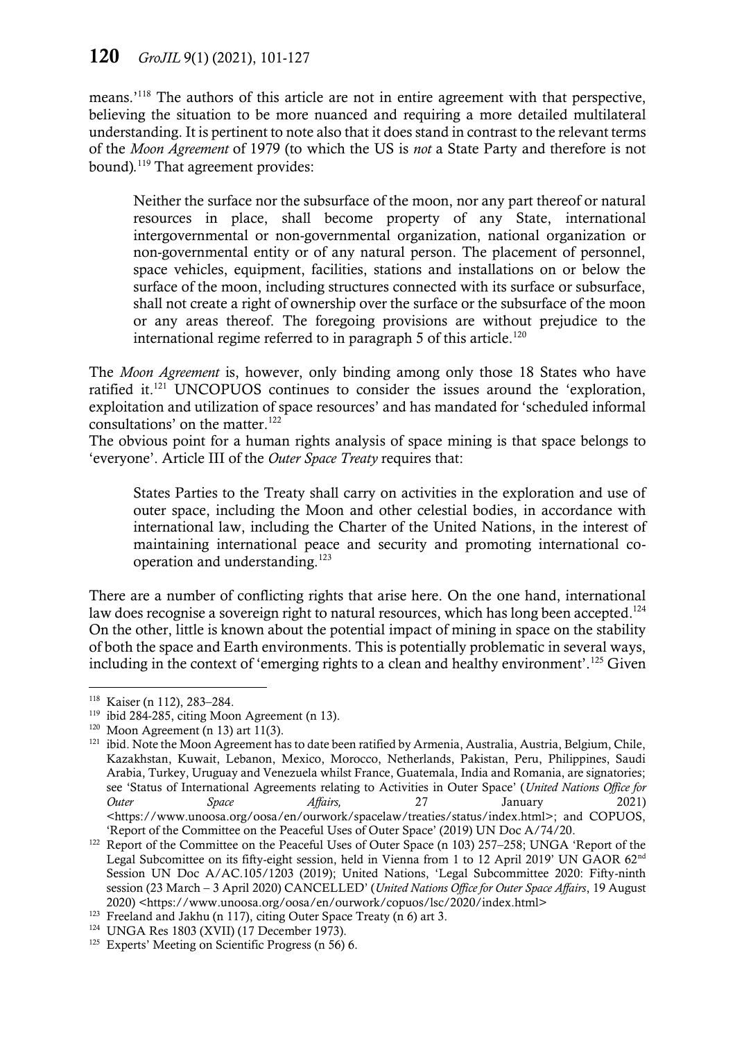## 120 *GroJIL* 9(1) (2021), 101-127

means.'<sup>118</sup> The authors of this article are not in entire agreement with that perspective, believing the situation to be more nuanced and requiring a more detailed multilateral understanding. It is pertinent to note also that it does stand in contrast to the relevant terms of the *Moon Agreement* of 1979 (to which the US is *not* a State Party and therefore is not bound)*.* <sup>119</sup> That agreement provides:

Neither the surface nor the subsurface of the moon, nor any part thereof or natural resources in place, shall become property of any State, international intergovernmental or non-governmental organization, national organization or non-governmental entity or of any natural person. The placement of personnel, space vehicles, equipment, facilities, stations and installations on or below the surface of the moon, including structures connected with its surface or subsurface, shall not create a right of ownership over the surface or the subsurface of the moon or any areas thereof. The foregoing provisions are without prejudice to the international regime referred to in paragraph 5 of this article.<sup>120</sup>

The *Moon Agreement* is, however, only binding among only those 18 States who have ratified it.<sup>121</sup> UNCOPUOS continues to consider the issues around the 'exploration, exploitation and utilization of space resources' and has mandated for 'scheduled informal consultations' on the matter. 122

The obvious point for a human rights analysis of space mining is that space belongs to 'everyone'. Article III of the *Outer Space Treaty* requires that:

States Parties to the Treaty shall carry on activities in the exploration and use of outer space, including the Moon and other celestial bodies, in accordance with international law, including the Charter of the United Nations, in the interest of maintaining international peace and security and promoting international cooperation and understanding.<sup>123</sup>

There are a number of conflicting rights that arise here. On the one hand, international law does recognise a sovereign right to natural resources, which has long been accepted. $^{124}$ On the other, little is known about the potential impact of mining in space on the stability of both the space and Earth environments. This is potentially problematic in several ways, including in the context of 'emerging rights to a clean and healthy environment'.<sup>125</sup> Given

<sup>118</sup> Kaiser (n 112), 283–284.

<sup>&</sup>lt;sup>119</sup> ibid 284-285, citing Moon Agreement (n [13\)](#page-4-1).

 $120$  Moon Agreement (n [13\)](#page-4-1) art 11(3).

<sup>&</sup>lt;sup>121</sup> ibid. Note the Moon Agreement has to date been ratified by Armenia, Australia, Austria, Belgium, Chile, Kazakhstan, Kuwait, Lebanon, Mexico, Morocco, Netherlands, Pakistan, Peru, Philippines, Saudi Arabia, Turkey, Uruguay and Venezuela whilst France, Guatemala, India and Romania, are signatories; see 'Status of International Agreements relating to Activities in Outer Space' (*United Nations Office for Outer Space Affairs,* 27 January 2021) <https://www.unoosa.org/oosa/en/ourwork/spacelaw/treaties/status/index.html>; and COPUOS, 'Report of the Committee on the Peaceful Uses of Outer Space' (2019) UN Doc A/74/20.

<sup>&</sup>lt;sup>122</sup> Report of the Committee on the Peaceful Uses of Outer Space (n 103) 257–258; UNGA 'Report of the Legal Subcomittee on its fifty-eight session, held in Vienna from 1 to 12 April 2019' UN GAOR 62<sup>nd</sup> Session UN Doc A/AC.105/1203 (2019); United Nations, 'Legal Subcommittee 2020: Fifty-ninth session (23 March – 3 April 2020) CANCELLED' (*United Nations Office for Outer Space Affairs*, 19 August 2020) <https://www.unoosa.org/oosa/en/ourwork/copuos/lsc/2020/index.html>

<sup>&</sup>lt;sup>123</sup> Freeland and Jakhu (n 117), citing Outer Space Treaty (n [6\)](#page-2-0) art 3.

<sup>124</sup> UNGA Res 1803 (XVII) (17 December 1973).

<sup>&</sup>lt;sup>125</sup> Experts' Meeting on Scientific Progress (n 56) 6.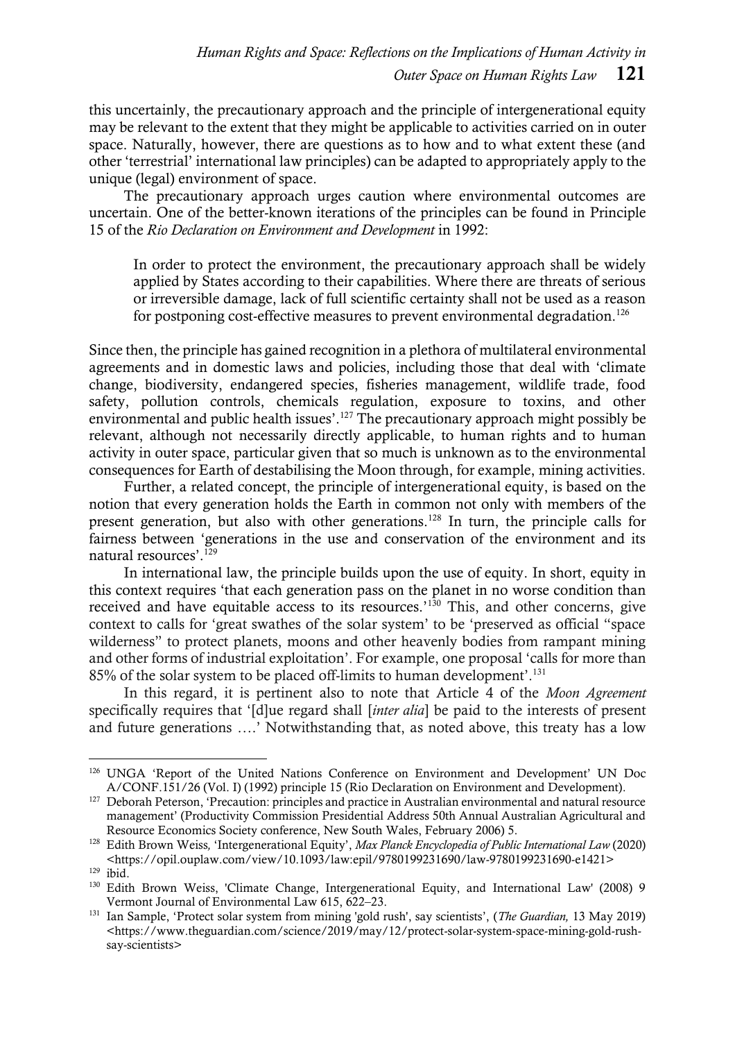this uncertainly, the precautionary approach and the principle of intergenerational equity may be relevant to the extent that they might be applicable to activities carried on in outer space. Naturally, however, there are questions as to how and to what extent these (and other 'terrestrial' international law principles) can be adapted to appropriately apply to the unique (legal) environment of space.

The precautionary approach urges caution where environmental outcomes are uncertain. One of the better-known iterations of the principles can be found in Principle 15 of the *Rio Declaration on Environment and Development* in 1992:

In order to protect the environment, the precautionary approach shall be widely applied by States according to their capabilities. Where there are threats of serious or irreversible damage, lack of full scientific certainty shall not be used as a reason for postponing cost-effective measures to prevent environmental degradation.<sup>126</sup>

Since then, the principle has gained recognition in a plethora of multilateral environmental agreements and in domestic laws and policies, including those that deal with 'climate change, biodiversity, endangered species, fisheries management, wildlife trade, food safety, pollution controls, chemicals regulation, exposure to toxins, and other environmental and public health issues'.<sup>127</sup> The precautionary approach might possibly be relevant, although not necessarily directly applicable, to human rights and to human activity in outer space, particular given that so much is unknown as to the environmental consequences for Earth of destabilising the Moon through, for example, mining activities.

Further, a related concept, the principle of intergenerational equity, is based on the notion that every generation holds the Earth in common not only with members of the present generation, but also with other generations.<sup>128</sup> In turn, the principle calls for fairness between 'generations in the use and conservation of the environment and its natural resources'.<sup>129</sup>

In international law, the principle builds upon the use of equity. In short, equity in this context requires 'that each generation pass on the planet in no worse condition than received and have equitable access to its resources.<sup>130</sup> This, and other concerns, give context to calls for 'great swathes of the solar system' to be 'preserved as official "space wilderness" to protect planets, moons and other heavenly bodies from rampant mining and other forms of industrial exploitation'. For example, one proposal 'calls for more than 85% of the solar system to be placed off-limits to human development'.<sup>131</sup>

In this regard, it is pertinent also to note that Article 4 of the *Moon Agreement* specifically requires that '[d]ue regard shall [*inter alia*] be paid to the interests of present and future generations ….' Notwithstanding that, as noted above, this treaty has a low

<sup>126</sup> UNGA 'Report of the United Nations Conference on Environment and Development' UN Doc A/CONF.151/26 (Vol. I) (1992) principle 15 (Rio Declaration on Environment and Development).

<sup>&</sup>lt;sup>127</sup> Deborah Peterson, 'Precaution: principles and practice in Australian environmental and natural resource management' (Productivity Commission Presidential Address 50th Annual Australian Agricultural and Resource Economics Society conference, New South Wales, February 2006) 5.

<sup>128</sup> Edith Brown Weiss*,* 'Intergenerational Equity', *Max Planck Encyclopedia of Public International Law* (2020) <https://opil.ouplaw.com/view/10.1093/law:epil/9780199231690/law-9780199231690-e1421>  $129$ ibid.

<sup>130</sup> Edith Brown Weiss, 'Climate Change, Intergenerational Equity, and International Law' (2008) 9 Vermont Journal of Environmental Law 615, 622–23.

<sup>131</sup> Ian Sample, 'Protect solar system from mining 'gold rush', say scientists', (*The Guardian,* 13 May 2019) <https://www.theguardian.com/science/2019/may/12/protect-solar-system-space-mining-gold-rushsay-scientists>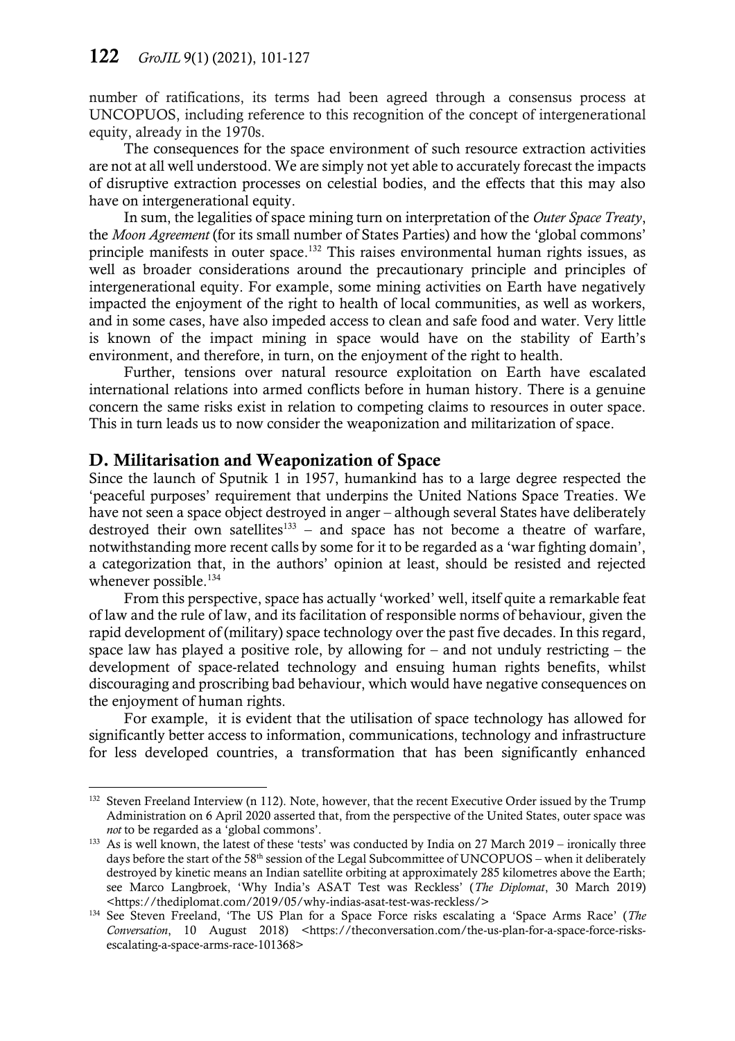number of ratifications, its terms had been agreed through a consensus process at UNCOPUOS, including reference to this recognition of the concept of intergenerational equity, already in the 1970s.

The consequences for the space environment of such resource extraction activities are not at all well understood. We are simply not yet able to accurately forecast the impacts of disruptive extraction processes on celestial bodies, and the effects that this may also have on intergenerational equity.

In sum, the legalities of space mining turn on interpretation of the *Outer Space Treaty*, the *Moon Agreement* (for its small number of States Parties) and how the 'global commons' principle manifests in outer space.<sup>132</sup> This raises environmental human rights issues, as well as broader considerations around the precautionary principle and principles of intergenerational equity. For example, some mining activities on Earth have negatively impacted the enjoyment of the right to health of local communities, as well as workers, and in some cases, have also impeded access to clean and safe food and water. Very little is known of the impact mining in space would have on the stability of Earth's environment, and therefore, in turn, on the enjoyment of the right to health.

Further, tensions over natural resource exploitation on Earth have escalated international relations into armed conflicts before in human history. There is a genuine concern the same risks exist in relation to competing claims to resources in outer space. This in turn leads us to now consider the weaponization and militarization of space.

#### D. Militarisation and Weaponization of Space

 $\overline{a}$ 

Since the launch of Sputnik 1 in 1957, humankind has to a large degree respected the 'peaceful purposes' requirement that underpins the United Nations Space Treaties. We have not seen a space object destroyed in anger – although several States have deliberately destroyed their own satellites<sup>133</sup> – and space has not become a theatre of warfare, notwithstanding more recent calls by some for it to be regarded as a 'war fighting domain', a categorization that, in the authors' opinion at least, should be resisted and rejected whenever possible.<sup>134</sup>

From this perspective, space has actually 'worked' well, itself quite a remarkable feat of law and the rule of law, and its facilitation of responsible norms of behaviour, given the rapid development of (military) space technology over the past five decades. In this regard, space law has played a positive role, by allowing for  $-$  and not unduly restricting  $-$  the development of space-related technology and ensuing human rights benefits, whilst discouraging and proscribing bad behaviour, which would have negative consequences on the enjoyment of human rights.

For example, it is evident that the utilisation of space technology has allowed for significantly better access to information, communications, technology and infrastructure for less developed countries, a transformation that has been significantly enhanced

<sup>&</sup>lt;sup>132</sup> Steven Freeland Interview (n 112). Note, however, that the recent Executive Order issued by the Trump Administration on 6 April 2020 asserted that, from the perspective of the United States, outer space was *not* to be regarded as a 'global commons'.

<sup>&</sup>lt;sup>133</sup> As is well known, the latest of these 'tests' was conducted by India on 27 March 2019 – ironically three days before the start of the 58<sup>th</sup> session of the Legal Subcommittee of UNCOPUOS – when it deliberately destroyed by kinetic means an Indian satellite orbiting at approximately 285 kilometres above the Earth; see Marco Langbroek, 'Why India's ASAT Test was Reckless' (*The Diplomat*, 30 March 2019) <https://thediplomat.com/2019/05/why-indias-asat-test-was-reckless/>

<sup>134</sup> See Steven Freeland, 'The US Plan for a Space Force risks escalating a 'Space Arms Race' (*The*  Conversation, 10 August 2018) <https://theconversation.com/the-us-plan-for-a-space-force-risksescalating-a-space-arms-race-101368>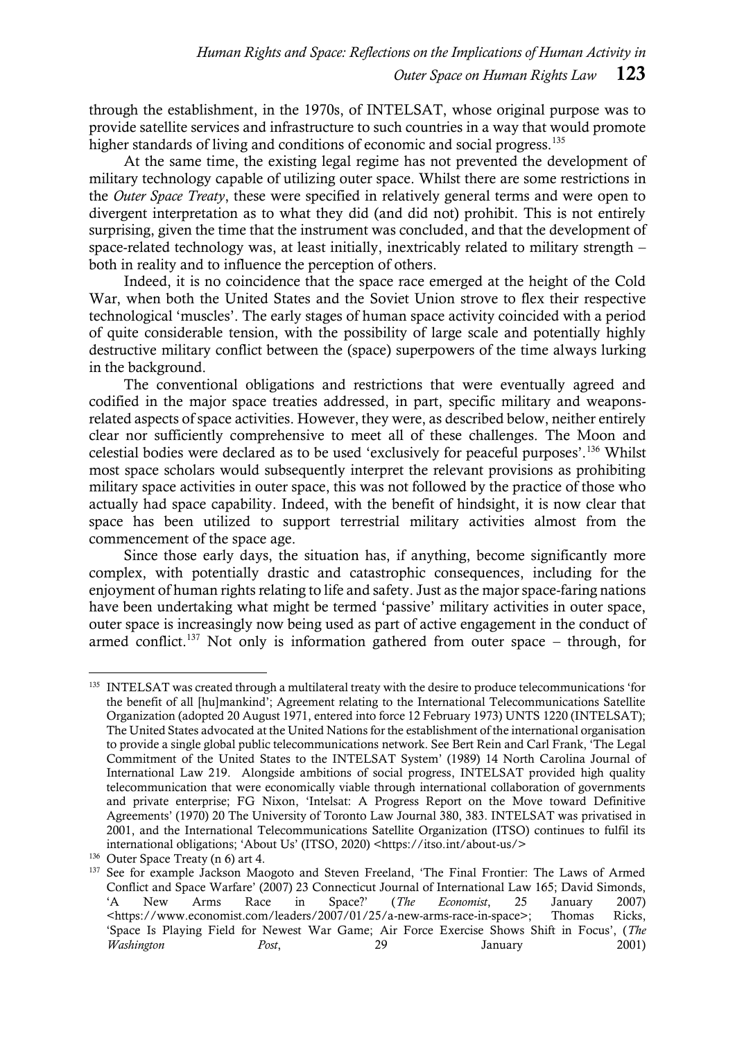through the establishment, in the 1970s, of INTELSAT, whose original purpose was to provide satellite services and infrastructure to such countries in a way that would promote higher standards of living and conditions of economic and social progress.<sup>135</sup>

At the same time, the existing legal regime has not prevented the development of military technology capable of utilizing outer space. Whilst there are some restrictions in the *Outer Space Treaty*, these were specified in relatively general terms and were open to divergent interpretation as to what they did (and did not) prohibit. This is not entirely surprising, given the time that the instrument was concluded, and that the development of space-related technology was, at least initially, inextricably related to military strength – both in reality and to influence the perception of others.

Indeed, it is no coincidence that the space race emerged at the height of the Cold War, when both the United States and the Soviet Union strove to flex their respective technological 'muscles'. The early stages of human space activity coincided with a period of quite considerable tension, with the possibility of large scale and potentially highly destructive military conflict between the (space) superpowers of the time always lurking in the background.

The conventional obligations and restrictions that were eventually agreed and codified in the major space treaties addressed, in part, specific military and weaponsrelated aspects of space activities. However, they were, as described below, neither entirely clear nor sufficiently comprehensive to meet all of these challenges. The Moon and celestial bodies were declared as to be used 'exclusively for peaceful purposes'.<sup>136</sup> Whilst most space scholars would subsequently interpret the relevant provisions as prohibiting military space activities in outer space, this was not followed by the practice of those who actually had space capability. Indeed, with the benefit of hindsight, it is now clear that space has been utilized to support terrestrial military activities almost from the commencement of the space age.

Since those early days, the situation has, if anything, become significantly more complex, with potentially drastic and catastrophic consequences, including for the enjoyment of human rights relating to life and safety. Just as the major space-faring nations have been undertaking what might be termed 'passive' military activities in outer space, outer space is increasingly now being used as part of active engagement in the conduct of armed conflict.<sup>137</sup> Not only is information gathered from outer space – through, for

<sup>&</sup>lt;sup>135</sup> INTELSAT was created through a multilateral treaty with the desire to produce telecommunications 'for the benefit of all [hu]mankind'; Agreement relating to the International Telecommunications Satellite Organization (adopted 20 August 1971, entered into force 12 February 1973) UNTS 1220 (INTELSAT); The United States advocated at the United Nations for the establishment of the international organisation to provide a single global public telecommunications network. See Bert Rein and Carl Frank, 'The Legal Commitment of the United States to the INTELSAT System' (1989) 14 North Carolina Journal of International Law 219. Alongside ambitions of social progress, INTELSAT provided high quality telecommunication that were economically viable through international collaboration of governments and private enterprise; FG Nixon, 'Intelsat: A Progress Report on the Move toward Definitive Agreements' (1970) 20 The University of Toronto Law Journal 380, 383. INTELSAT was privatised in 2001, and the International Telecommunications Satellite Organization (ITSO) continues to fulfil its international obligations; 'About Us' (ITSO, 2020) <https://itso.int/about-us/>

<sup>&</sup>lt;sup>136</sup> Outer Space Treaty (n [6\)](#page-2-0) art 4.

<sup>&</sup>lt;sup>137</sup> See for example Jackson Maogoto and Steven Freeland, 'The Final Frontier: The Laws of Armed Conflict and Space Warfare' (2007) 23 Connecticut Journal of International Law 165; David Simonds, 'A New Arms Race in Space?' (*The Economist*, 25 January 2007) <https://www.economist.com/leaders/2007/01/25/a-new-arms-race-in-space>; Thomas Ricks, 'Space Is Playing Field for Newest War Game; Air Force Exercise Shows Shift in Focus', (*The Washington Post*, 29 January 2001)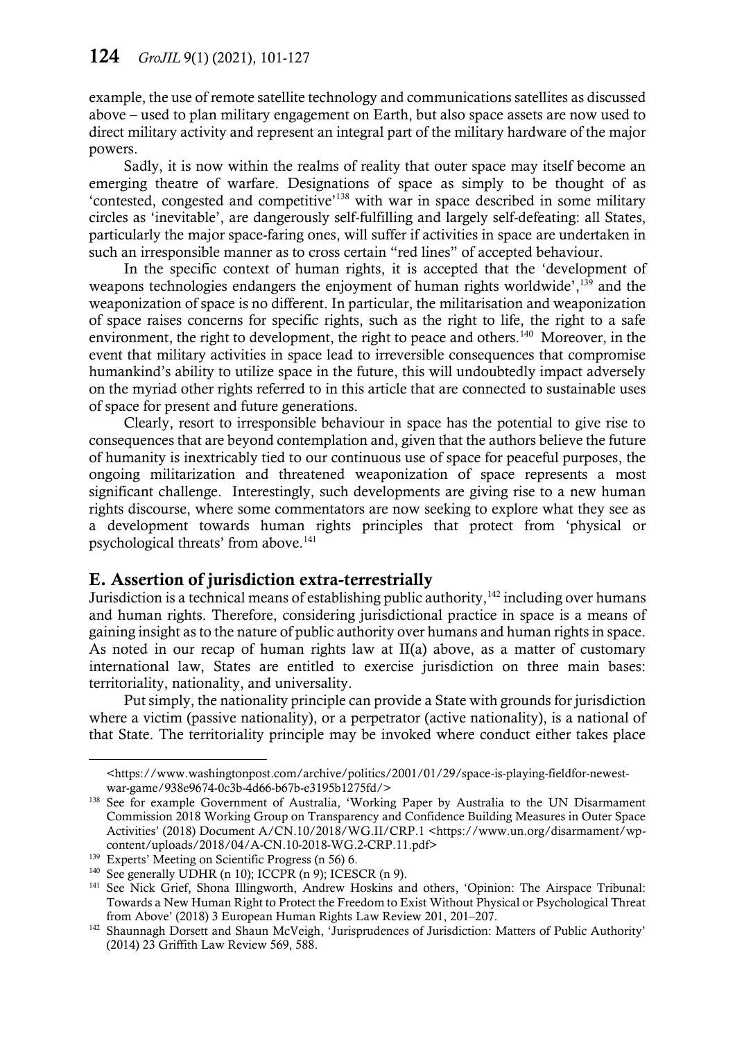example, the use of remote satellite technology and communications satellites as discussed above – used to plan military engagement on Earth, but also space assets are now used to direct military activity and represent an integral part of the military hardware of the major powers.

Sadly, it is now within the realms of reality that outer space may itself become an emerging theatre of warfare. Designations of space as simply to be thought of as 'contested, congested and competitive'<sup>138</sup> with war in space described in some military circles as 'inevitable', are dangerously self-fulfilling and largely self-defeating: all States, particularly the major space-faring ones, will suffer if activities in space are undertaken in such an irresponsible manner as to cross certain "red lines" of accepted behaviour.

In the specific context of human rights, it is accepted that the 'development of weapons technologies endangers the enjoyment of human rights worldwide',<sup>139</sup> and the weaponization of space is no different. In particular, the militarisation and weaponization of space raises concerns for specific rights, such as the right to life, the right to a safe environment, the right to development, the right to peace and others.<sup>140</sup> Moreover, in the event that military activities in space lead to irreversible consequences that compromise humankind's ability to utilize space in the future, this will undoubtedly impact adversely on the myriad other rights referred to in this article that are connected to sustainable uses of space for present and future generations.

Clearly, resort to irresponsible behaviour in space has the potential to give rise to consequences that are beyond contemplation and, given that the authors believe the future of humanity is inextricably tied to our continuous use of space for peaceful purposes, the ongoing militarization and threatened weaponization of space represents a most significant challenge. Interestingly, such developments are giving rise to a new human rights discourse, where some commentators are now seeking to explore what they see as a development towards human rights principles that protect from 'physical or psychological threats' from above. 141

### E. Assertion of jurisdiction extra-terrestrially

Jurisdiction is a technical means of establishing public authority, $142$  including over humans and human rights. Therefore, considering jurisdictional practice in space is a means of gaining insight as to the nature of public authority over humans and human rights in space. As noted in our recap of human rights law at II(a) above, as a matter of customary international law, States are entitled to exercise jurisdiction on three main bases: territoriality, nationality, and universality.

Put simply, the nationality principle can provide a State with grounds for jurisdiction where a victim (passive nationality), or a perpetrator (active nationality), is a national of that State. The territoriality principle may be invoked where conduct either takes place

<sup>&</sup>lt;https://www.washingtonpost.com/archive/politics/2001/01/29/space-is-playing-fieldfor-newestwar-game/938e9674-0c3b-4d66-b67b-e3195b1275fd/>

<sup>&</sup>lt;sup>138</sup> See for example Government of Australia, 'Working Paper by Australia to the UN Disarmament Commission 2018 Working Group on Transparency and Confidence Building Measures in Outer Space Activities' (2018) Document A/CN.10/2018/WG.II/CRP.1 <https://www.un.org/disarmament/wpcontent/uploads/2018/04/A-CN.10-2018-WG.2-CRP.11.pdf>

<sup>&</sup>lt;sup>139</sup> Experts' Meeting on Scientific Progress (n 56) 6.

<sup>&</sup>lt;sup>140</sup> See generally UDHR ([n 10\)](#page-4-2); ICCPR ([n 9\)](#page-4-0); ICESCR (n [9\)](#page-4-0).

<sup>&</sup>lt;sup>141</sup> See Nick Grief, Shona Illingworth, Andrew Hoskins and others, 'Opinion: The Airspace Tribunal: Towards a New Human Right to Protect the Freedom to Exist Without Physical or Psychological Threat from Above' (2018) 3 European Human Rights Law Review 201, 201–207.

<sup>&</sup>lt;sup>142</sup> Shaunnagh Dorsett and Shaun McVeigh, 'Jurisprudences of Jurisdiction: Matters of Public Authority' (2014) 23 Griffith Law Review 569, 588.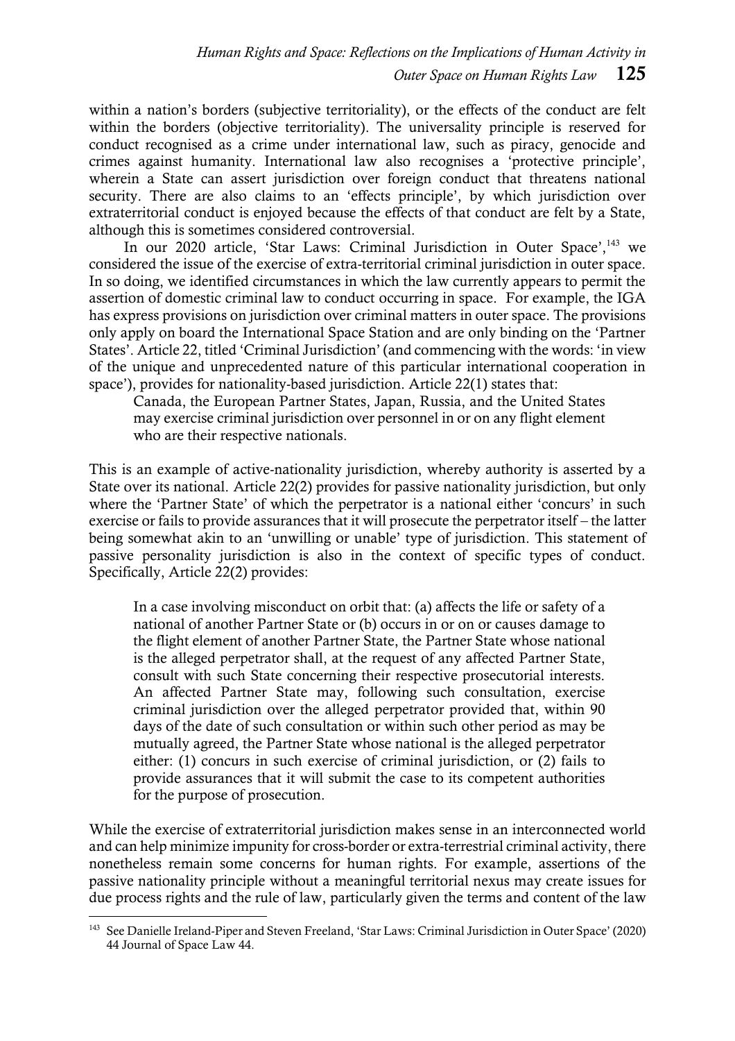within a nation's borders (subjective territoriality), or the effects of the conduct are felt within the borders (objective territoriality). The universality principle is reserved for conduct recognised as a crime under international law, such as piracy, genocide and crimes against humanity. International law also recognises a 'protective principle', wherein a State can assert jurisdiction over foreign conduct that threatens national security. There are also claims to an 'effects principle', by which jurisdiction over extraterritorial conduct is enjoyed because the effects of that conduct are felt by a State, although this is sometimes considered controversial.

In our 2020 article, 'Star Laws: Criminal Jurisdiction in Outer Space', <sup>143</sup> we considered the issue of the exercise of extra-territorial criminal jurisdiction in outer space. In so doing, we identified circumstances in which the law currently appears to permit the assertion of domestic criminal law to conduct occurring in space. For example, the IGA has express provisions on jurisdiction over criminal matters in outer space. The provisions only apply on board the International Space Station and are only binding on the 'Partner States'. Article 22, titled 'Criminal Jurisdiction' (and commencing with the words: 'in view of the unique and unprecedented nature of this particular international cooperation in space'), provides for nationality-based jurisdiction. Article 22(1) states that:

Canada, the European Partner States, Japan, Russia, and the United States may exercise criminal jurisdiction over personnel in or on any flight element who are their respective nationals.

This is an example of active-nationality jurisdiction, whereby authority is asserted by a State over its national. Article 22(2) provides for passive nationality jurisdiction, but only where the 'Partner State' of which the perpetrator is a national either 'concurs' in such exercise or fails to provide assurances that it will prosecute the perpetrator itself – the latter being somewhat akin to an 'unwilling or unable' type of jurisdiction. This statement of passive personality jurisdiction is also in the context of specific types of conduct. Specifically, Article 22(2) provides:

In a case involving misconduct on orbit that: (a) affects the life or safety of a national of another Partner State or (b) occurs in or on or causes damage to the flight element of another Partner State, the Partner State whose national is the alleged perpetrator shall, at the request of any affected Partner State, consult with such State concerning their respective prosecutorial interests. An affected Partner State may, following such consultation, exercise criminal jurisdiction over the alleged perpetrator provided that, within 90 days of the date of such consultation or within such other period as may be mutually agreed, the Partner State whose national is the alleged perpetrator either: (1) concurs in such exercise of criminal jurisdiction, or (2) fails to provide assurances that it will submit the case to its competent authorities for the purpose of prosecution.

While the exercise of extraterritorial jurisdiction makes sense in an interconnected world and can help minimize impunity for cross-border or extra-terrestrial criminal activity, there nonetheless remain some concerns for human rights. For example, assertions of the passive nationality principle without a meaningful territorial nexus may create issues for due process rights and the rule of law, particularly given the terms and content of the law

<sup>143</sup> See Danielle Ireland-Piper and Steven Freeland, 'Star Laws: Criminal Jurisdiction in Outer Space' (2020) 44 Journal of Space Law 44.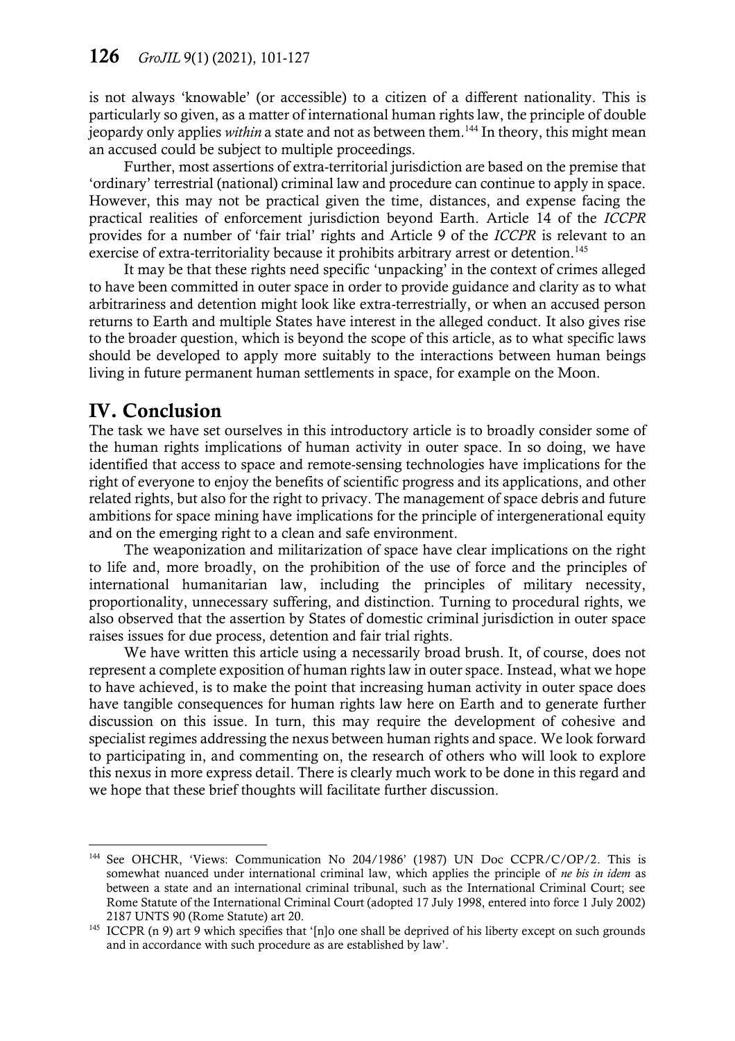is not always 'knowable' (or accessible) to a citizen of a different nationality. This is particularly so given, as a matter of international human rights law, the principle of double jeopardy only applies *within* a state and not as between them.<sup>144</sup> In theory, this might mean an accused could be subject to multiple proceedings.

Further, most assertions of extra-territorial jurisdiction are based on the premise that 'ordinary' terrestrial (national) criminal law and procedure can continue to apply in space. However, this may not be practical given the time, distances, and expense facing the practical realities of enforcement jurisdiction beyond Earth. Article 14 of the *ICCPR* provides for a number of 'fair trial' rights and Article 9 of the *ICCPR* is relevant to an exercise of extra-territoriality because it prohibits arbitrary arrest or detention.<sup>145</sup>

It may be that these rights need specific 'unpacking' in the context of crimes alleged to have been committed in outer space in order to provide guidance and clarity as to what arbitrariness and detention might look like extra-terrestrially, or when an accused person returns to Earth and multiple States have interest in the alleged conduct. It also gives rise to the broader question, which is beyond the scope of this article, as to what specific laws should be developed to apply more suitably to the interactions between human beings living in future permanent human settlements in space, for example on the Moon.

## IV. Conclusion

 $\overline{a}$ 

The task we have set ourselves in this introductory article is to broadly consider some of the human rights implications of human activity in outer space. In so doing, we have identified that access to space and remote-sensing technologies have implications for the right of everyone to enjoy the benefits of scientific progress and its applications, and other related rights, but also for the right to privacy. The management of space debris and future ambitions for space mining have implications for the principle of intergenerational equity and on the emerging right to a clean and safe environment.

The weaponization and militarization of space have clear implications on the right to life and, more broadly, on the prohibition of the use of force and the principles of international humanitarian law, including the principles of military necessity, proportionality, unnecessary suffering, and distinction. Turning to procedural rights, we also observed that the assertion by States of domestic criminal jurisdiction in outer space raises issues for due process, detention and fair trial rights.

We have written this article using a necessarily broad brush. It, of course, does not represent a complete exposition of human rights law in outer space. Instead, what we hope to have achieved, is to make the point that increasing human activity in outer space does have tangible consequences for human rights law here on Earth and to generate further discussion on this issue. In turn, this may require the development of cohesive and specialist regimes addressing the nexus between human rights and space. We look forward to participating in, and commenting on, the research of others who will look to explore this nexus in more express detail. There is clearly much work to be done in this regard and we hope that these brief thoughts will facilitate further discussion.

<sup>&</sup>lt;sup>144</sup> See OHCHR, 'Views: Communication No 204/1986' (1987) UN Doc CCPR/C/OP/2. This is somewhat nuanced under international criminal law, which applies the principle of *ne bis in idem* as between a state and an international criminal tribunal, such as the International Criminal Court; see Rome Statute of the International Criminal Court (adopted 17 July 1998, entered into force 1 July 2002) 2187 UNTS 90 (Rome Statute) art 20.

<sup>&</sup>lt;sup>145</sup> ICCPR (n [9](#page-4-0)) art 9 which specifies that '[n]o one shall be deprived of his liberty except on such grounds and in accordance with such procedure as are established by law'.